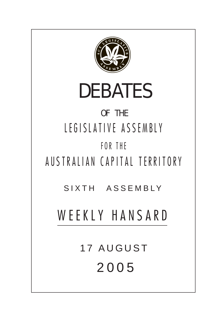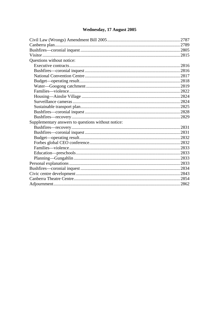# Wednesday, 17 August 2005

| Questions without notice:                          |
|----------------------------------------------------|
|                                                    |
|                                                    |
|                                                    |
|                                                    |
|                                                    |
|                                                    |
|                                                    |
|                                                    |
|                                                    |
|                                                    |
|                                                    |
|                                                    |
|                                                    |
|                                                    |
|                                                    |
| Supplementary answers to questions without notice: |
|                                                    |
|                                                    |
|                                                    |
|                                                    |
|                                                    |
|                                                    |
|                                                    |
|                                                    |
|                                                    |
|                                                    |
|                                                    |
|                                                    |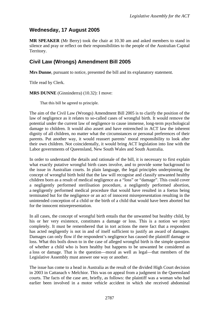# <span id="page-2-0"></span>**Wednesday, 17 August 2005**

**MR SPEAKER** (Mr Berry) took the chair at 10.30 am and asked members to stand in silence and pray or reflect on their responsibilities to the people of the Australian Capital Territory.

# **Civil Law (Wrongs) Amendment Bill 2005**

**Mrs Dunne**, pursuant to notice, presented the bill and its explanatory statement.

Title read by Clerk.

**MRS DUNNE** (Ginninderra) (10.32): I move:

That this bill be agreed to principle.

The aim of the Civil Law (Wrongs) Amendment Bill 2005 is to clarify the position of the law of negligence as it relates to so-called cases of wrongful birth. It would remove the potential under the current law of negligence to cause immense, long-term psychological damage to children. It would also assert and have entrenched in ACT law the inherent dignity of all children, no matter what the circumstances or personal preferences of their parents. Put another way, it would reassert parents' moral responsibility to look after their own children. Not coincidentally, it would bring ACT legislation into line with the Labor governments of Queensland, New South Wales and South Australia.

In order to understand the details and rationale of the bill, it is necessary to first explain what exactly putative wrongful birth cases involve, and to provide some background to the issue in Australian courts. In plain language, the legal principles underpinning the concept of wrongful birth hold that the law will recognise and classify unwanted healthy children born as a result of medical negligence as a "loss" or "damage". This could cover a negligently performed sterilisation procedure, a negligently performed abortion, a negligently performed medical procedure that would have resulted in a foetus being terminated but for the negligence or an act of innocent misrepresentation resulting in the unintended conception of a child or the birth of a child that would have been aborted but for the innocent misrepresentation.

In all cases, the concept of wrongful birth entails that the unwanted but healthy child, by his or her very existence, constitutes a damage or loss. This is a notion we reject completely. It must be remembered that in tort actions the mere fact that a respondent has acted negligently is not in and of itself sufficient to justify an award of damages. Damages can only flow if the respondent's negligence has caused the plaintiff damage or loss. What this boils down to in the case of alleged wrongful birth is the simple question of whether a child who is born healthy but happens to be unwanted be considered as a loss or damage. That is the question—moral as well as legal—that members of the Legislative Assembly must answer one way or another.

The issue has come to a head in Australia as the result of the divided High Court decision in 2003 in Cattanach v Melchior*.* This was on appeal from a judgment in the Queensland courts. The facts of the case are, briefly, as follows: the plaintiff was a woman who had earlier been involved in a motor vehicle accident in which she received abdominal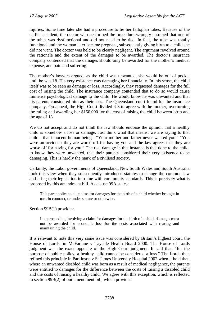injuries. Some time later she had a procedure to tie her fallopian tubes. Because of the earlier accident, the doctor who performed the procedure wrongly assumed that one of the tubes was dysfunctional and did not need to be tied. In fact, the tube was totally functional and the woman later became pregnant, subsequently giving birth to a child she did not want. The doctor was held to be clearly negligent. The argument revolved around the rationale and the extent of the damages to be awarded. The doctor's insurance company contended that the damages should only be awarded for the mother's medical expense, and pain and suffering.

The mother's lawyers argued, as the child was unwanted, she would be out of pocket until he was 18. His very existence was damaging her financially. In this sense, the child itself was to be seen as damage or loss. Accordingly, they requested damages for the full cost of raising the child. The insurance company contended that to do so would cause immense psychological damage to the child. He would know he was unwanted and that his parents considered him as their loss. The Queensland court found for the insurance company. On appeal, the High Court divided 4-3 to agree with the mother, overturning the ruling and awarding her \$150,000 for the cost of raising the child between birth and the age of 18.

We do not accept and do not think the law should endorse the opinion that a healthy child is somehow a loss or damage. Just think what that means: we are saying to that child—that innocent human being—"Your mother and father never wanted you." "You were an accident: they are worse off for having you and the law agrees that they are worse off for having for you." The real damage in this instance is that done to the child, to know they were unwanted, that their parents considered their very existence to be damaging. This is hardly the mark of a civilised society.

Certainly, the Labor governments of Queensland, New South Wales and South Australia took this view when they subsequently introduced statutes to change the common law and bring their legislation into line with community standards. This is precisely what is proposed by this amendment bill. As clause 99A states:

This part applies to all claims for damages for the birth of a child whether brought in tort, in contract, or under statute or otherwise.

#### Section 99B(1) provides:

In a proceeding involving a claim for damages for the birth of a child, damages must not be awarded for economic loss for the costs associated with rearing and maintaining the child.

It is relevant to note this very same issue was considered by Britain's highest court, the House of Lords, in McFarlane v Tayside Health Board 2000. The House of Lords judgment was the exact opposite of the High Court judgment. It said that, "for the purpose of public policy, a healthy child cannot be considered a loss." The Lords then refined this principle in Parkinson v St James University Hospital 2002 when it held that, where an unwanted disabled child was born as a result of medical negligence, the parents were entitled to damages for the difference between the costs of raising a disabled child and the costs of raising a healthy child. We agree with this exception, which is reflected in section 99B(2) of our amendment bill, which provides: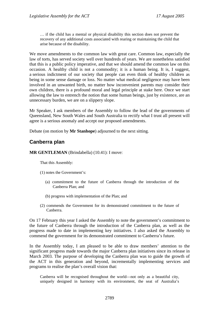<span id="page-4-0"></span>… if the child has a mental or physical disability this section does not prevent the recovery of any additional costs associated with rearing or maintaining the child that arise because of the disability.

We move amendments to the common law with great care. Common law, especially the law of torts, has served society well over hundreds of years. We are nonetheless satisfied that this is a public policy imperative, and that we should amend the common law on this occasion. A healthy child is not a commodity; it is a human being. It is, I suggest, a serious indictment of our society that people can even think of healthy children as being in some sense damage or loss. No matter what medical negligence may have been involved in an unwanted birth, no matter how inconvenient parents may consider their own children, there is a profound moral and legal principle at stake here. Once we start allowing the law to entrench the notion that some human beings, just by existence, are an unnecessary burden, we are on a slippery slope.

Mr Speaker, I ask members of the Assembly to follow the lead of the governments of Queensland, New South Wales and South Australia to rectify what I trust all present will agree is a serious anomaly and accept our proposed amendments.

Debate (on motion by **Mr Stanhope**) adjourned to the next sitting.

# **Canberra plan**

**MR GENTLEMAN** (Brindabella) (10.41): I move:

That this Assembly:

- (1) notes the Government's:
	- (a) commitment to the future of Canberra through the introduction of the Canberra Plan; and
	- (b) progress with implementation of the Plan; and
- (2) commends the Government for its demonstrated commitment to the future of Canberra.

On 17 February this year I asked the Assembly to note the government's commitment to the future of Canberra through the introduction of the Canberra plan, as well as the progress made to date in implementing key initiatives. I also asked the Assembly to commend the government for its demonstrated commitment to Canberra's future.

In the Assembly today, I am pleased to be able to draw members' attention to the significant progress made towards the major Canberra plan initiatives since its release in March 2003. The purpose of developing the Canberra plan was to guide the growth of the ACT in this generation and beyond, incrementally implementing services and programs to realise the plan's overall vision that:

Canberra will be recognised throughout the world—not only as a beautiful city, uniquely designed in harmony with its environment, the seat of Australia's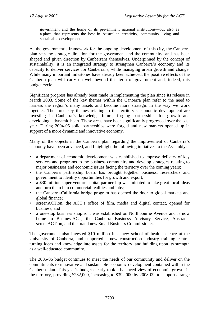government and the home of its pre-eminent national institutions—but also as a place that represents the best in Australian creativity, community living and sustainable development.

As the government's framework for the ongoing development of this city, the Canberra plan sets the strategic direction for the government and the community, and has been shaped and given direction by Canberrans themselves. Underpinned by the concept of sustainability, it is an integrated strategy to strengthen Canberra's economy and its capacity to deliver services for Canberrans, while managing urban growth and change. While many important milestones have already been achieved, the positive effects of the Canberra plan will carry on well beyond this term of government and, indeed, this budget cycle.

Significant progress has already been made in implementing the plan since its release in March 2003. Some of the key themes within the Canberra plan refer to the need to harness the region's many assets and become more strategic in the way we work together. The three key themes relating to the territory's economic development are investing in Canberra's knowledge future, forging partnerships for growth and developing a dynamic heart. These areas have been significantly progressed over the past year. During 2004-05 solid partnerships were forged and new markets opened up in support of a more dynamic and innovative economy.

Many of the objects in the Canberra plan regarding the improvement of Canberra's economy have been advanced, and I highlight the following initiatives to the Assembly:

- a department of economic development was established to improve delivery of key services and programs to the business community and develop strategies relating to major businesses and economic issues facing the territory over the coming years;
- the Canberra partnership board has brought together business, researchers and government to identify opportunities for growth and export;
- a \$30 million super venture capital partnership was initiated to take great local ideas and turn them into commercial realities and jobs;
- the Canberra-California bridge program has opened the door to global markets and global finance;
- screenACTion, the ACT's office of film, media and digital contact, opened for business; and
- a one-stop business shopfront was established on Northbourne Avenue and is now home to BusinessACT, the Canberra Business Advisory Service, Austrade, screenACTion, and the brand new Small Business Commissioner.

The government also invested \$10 million in a new school of health science at the University of Canberra, and supported a new construction industry training centre, turning ideas and knowledge into assets for the territory, and building upon its strength as a well-educated community.

The 2005-06 budget continues to meet the needs of our community and deliver on the commitments to innovative and sustainable economic development contained within the Canberra plan. This year's budget clearly took a balanced view of economic growth in the territory, providing \$232,000, increasing to \$392,000 by 2008-09, to support a range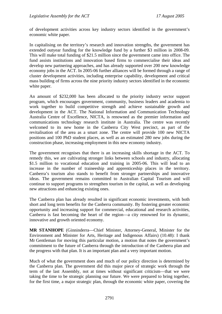of development activities across key industry sectors identified in the government's economic white paper.

In capitalising on the territory's research and innovation strengths, the government has extended outyear funding for the knowledge fund by a further \$3 million in 2008-09. This will make total funding of \$21.5 million since the government came into office. The fund assists institutions and innovation based firms to commercialise their ideas and develop new partnering approaches, and has already supported over 200 new knowledge economy jobs in the ACT. In 2005-06 further alliances will be formed through a range of cluster development activities, including enterprise capability, development and critical mass building of firms across the nine priority industry sectors identified in the economic white paper.

An amount of \$232,000 has been allocated to the priority industry sector support program, which encourages government, community, business leaders and academia to work together to build competitive strength and achieve sustainable growth and development in the ACT. The National Information and Communication Technology Australia Centre of Excellence, NICTA, is renowned as the premier information and communications technology research institute in Australia. The centre was recently welcomed to its new home in the Canberra City West precinct, as part of the revitalisation of the area as a smart zone. The centre will provide 100 new NICTA positions and 100 PhD student places, as well as an estimated 280 new jobs during the construction phase, increasing employment in this new economy industry.

The government recognises that there is an increasing skills shortage in the ACT. To remedy this, we are cultivating stronger links between schools and industry, allocating \$1.5 million to vocational education and training in 2005-06. This will lead to an increase in the number of traineeship and apprenticeship places in the territory. Canberra's tourism also stands to benefit from stronger partnerships and innovative ideas. The government remains committed to Australian Capital Tourism and will continue to support programs to strengthen tourism in the capital, as well as developing new attractions and enhancing existing ones.

The Canberra plan has already resulted in significant economic investments, with both short and long term benefits for the Canberra community. By fostering greater economic opportunity and increasing support for commercial, educational and research activities, Canberra is fast becoming the heart of the region—a city renowned for its dynamic, innovative and growth oriented economy.

**MR STANHOPE** (Ginninderra—Chief Minister, Attorney-General, Minister for the Environment and Minister for Arts, Heritage and Indigenous Affairs) (10.48): I thank Mr Gentleman for moving this particular motion, a motion that notes the government's commitment to the future of Canberra through the introduction of the Canberra plan and the progress with that plan. It is an important plan and a very important motion.

Much of what the government does and much of our policy direction is determined by the Canberra plan. The government did this major piece of strategic work through the term of the last Assembly, not at times without significant criticism—that we were taking the time to be strategic planning our future. We were prepared to bring together, for the first time, a major strategic plan, through the economic white paper, covering the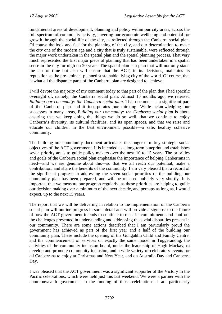fundamental areas of development, planning and policy within our city areas, across the full spectrum of community activity, covering our economic wellbeing and potential for growth through the social life of the city, as reflected through the Canberra social plan. Of course the look and feel for the planning of the city, and our determination to make the city one of the modern age and a city that is truly sustainable, were reflected through the major work undertaken in the spatial plan and the spatial planning process. That very much represented the first major piece of planning that had been undertaken in a spatial sense in the city for nigh on 20 years. The spatial plan is a plan that will not only stand the test of time but also will ensure that the ACT, in its decisions, maintains its reputation as the pre-eminent planned sustainable living city of the world. Of course, that is what all the disparate parts of the Canberra plan are designed to achieve.

I will devote the majority of my comment today to that part of the plan that I had specific oversight of, namely, the Canberra social plan. Almost 15 months ago, we released *Building our community: the Canberra social plan*. That document is a significant part of the Canberra plan and it incorporates our thinking. While acknowledging our successes in many areas, *Building our community: the Canberra social plan* is about ensuring that we keep doing the things we do so well, that we continue to enjoy Canberra's diversity, its cultural facilities, and its open spaces, and that we raise and educate our children in the best environment possible—a safe, healthy cohesive community.

The building our community document articulates the longer-term key strategic social objectives of the ACT government. It is intended as a long-term blueprint and establishes seven priority areas to guide policy makers over the next 10 to 15 years. The priorities and goals of the Canberra social plan emphasise the importance of helping Canberrans in need—and we are genuine about this—so that we all reach our potential, make a contribution, and share the benefits of the community. I am very pleased that a record of the significant progress in addressing the seven social priorities of the building our community plan has been prepared, and will be released publicly very shortly. It is important that we measure our progress regularly, as these priorities are helping to guide our decision making over a minimum of the next decade, and perhaps as long as, I would expect, up to the next 15 years.

The report that we will be delivering in relation to the implementation of the Canberra social plan will outline progress in some detail and will provide a signpost to the future of how the ACT government intends to continue to meet its commitments and confront the challenges presented in understanding and addressing the social disparities present in our community. There are some actions described that I am particularly proud the government has achieved as part of the first year and a half of the building our community plan. These include the opening of the Gungahlin Child and Family Centre, and the commencement of services on exactly the same model in Tuggeranong, the activities of the community inclusion board, under the leadership of Hugh Mackay, to develop and promote community inclusion, and a wide variety of celebratory events for all Canberrans to enjoy at Christmas and New Year, and on Australia Day and Canberra Day.

I was pleased that the ACT government was a significant supporter of the Victory in the Pacific celebrations, which were held just this last weekend. We were a partner with the commonwealth government in the funding of those celebrations. I am particularly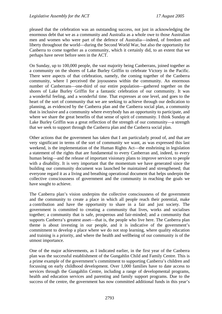pleased that the celebration was an outstanding success, not just in acknowledging the enormous debt that we as a community and Australia as a whole owe to those Australian men and women who were part of the defence of Australia—indeed, of freedom and liberty throughout the world—during the Second World War, but also the opportunity for Canberra to come together as a community, which it certainly did, to an extent that we perhaps have never before seen in the ACT.

On Sunday, up to 100,000 people, the vast majority being Canberrans, joined together as a community on the shores of Lake Burley Griffin to celebrate Victory in the Pacific. There were aspects of that celebration, namely, the coming together of the Canberra community, where I perceived the joyousness within the community. An enormous number of Canberrans—one-third of our entire population—gathered together on the shores of Lake Burley Griffin for a fantastic celebration of our community. It was a wonderful feeling, and a wonderful time. That expresses at one level, and goes to the heart of the sort of community that we are seeking to achieve through our dedication to planning, as evidenced by the Canberra plan and the Canberra social plan, a community that is inclusive and a community where everybody has an opportunity to participate, and where we share the great benefits of that sense of spirit of community. I think Sunday at Lake Burley Griffin was a great reflection of the strength of our community—a strength that we seek to support through the Canberra plan and the Canberra social plan.

Other actions that the government has taken that I am particularly proud of, and that are very significant in terms of the sort of community we want, as was expressed this last weekend, is the implementation of the Human Rights Act—the enshrining in legislation a statement of the rights that are fundamental to every Canberran and, indeed, to every human being—and the release of important visionary plans to improve services to people with a disability. It is very important that the momentum we have generated since the building our community document was launched be maintained and strengthened; that everyone regard it as a living and breathing operational document that helps underpin the collective consciousness of government and the community in reaching the goals we have sought to achieve.

The Canberra plan's vision underpins the collective consciousness of the government and the community to create a place in which all people reach their potential, make a contribution and have the opportunity to share in a fair and just society. The government is committed to creating a community that lives, works and socialises together; a community that is safe, prosperous and fair-minded; and a community that supports Canberra's greatest asset—that is, the people who live here. The Canberra plan theme is about investing in our people, and it is indicative of the government's commitment to develop a place where we do not stop learning, where quality education and training is a priority, and where the health and wellbeing of our community is of the utmost importance.

One of the major achievements, as I indicated earlier, in the first year of the Canberra plan was the successful establishment of the Gungahlin Child and Family Centre. This is a prime example of the government's commitment to supporting Canberra's children and focussing on early childhood development. Over 1,000 families have to date access to services through the Gungahlin Centre, including a range of developmental programs, health and education services and parenting and family support programs. Due to the success of the centre, the government has now committed additional funds in this year's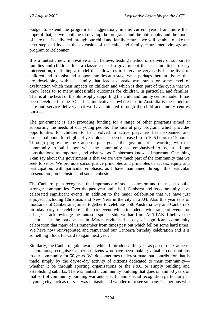budget to extend the program to Tuggeranong in this current year. I am more than hopeful that, as we continue to develop the programs and the philosophy and the model of care that is delivered through our child and family centres, we will be able to take the next step and look at the extension of the child and family centre methodology and program to Belconnen.

It is a fantastic new, innovative and, I believe, leading method of delivery of support to families and children. It is a classic case of a government that is committed to early intervention, of finding a model that allows us to intervene very early in the lives of children and to assist and support families at a stage when perhaps there are issues that are developing within a family that lead to breakdown, stress or some level of dysfunction which then impacts on children and which is then part of the cycle that we know leads to so many undesirable outcomes for children, in particular, and families. That is at the heart of the philosophy supporting the child and family centre model. It has been developed in the ACT. It is innovative: nowhere else in Australia is the model of care and service delivery that we have initiated through the child and family centres pursued.

The government is also providing funding for a range of other programs aimed at supporting the needs of our young people. The kids at play program, which provides opportunities for children to be involved in active play, has been expanded and pre-school hours for eligible 4-year-olds has been increased from 10.5 hours to 12 hours. Through progressing the Canberra plan goals, the government is working with the community to build upon what the community has emphasised to us, in all our consultations, as important, and what we as Canberrans know is important. One thing I can say about this government is that we are very much part of the community that we seek to serve. We promote social justice principles and principles of access, equity and participation, with particular emphasis, as I have maintained through this particular presentation, on inclusion and social cohesion.

The Canberra plan recognises the importance of social cohesion and the need to build stronger communities. Over the past year and a half, Canberra and its community have celebrated significant events, in addition to the major celebration that we have just enjoyed, including Christmas and New Year in the city in 2004. Also this year tens of thousands of Canberrans joined together to celebrate both Australia Day and Canberra's birthday party, the celebrate in the park event, which included a wide range of events for all ages. I acknowledge the fantastic sponsorship we had from ACTTAB. I believe the celebrate in the park event in March revitalised a day of significant community celebration that many of us remember from times past but which fell on some hard times. We have now reinvigorated and reinvented our Canberra birthday celebration and it is something I look forward to again next year.

Similarly, the Canberra gold awards, which I introduced this year as part of our Canberra celebrations, recognise Canberra citizens who have been making valuable contributions to our community for 50 years. We do sometimes underestimate that contribution that is made simply by the day-to-day activity of citizens dedicated to their community whether it be through sporting organisations or the P&C or simply building and establishing suburbs. There is fantastic community building that goes on and 50 years of that sort of community building warrants specific and special recognition particularly in a young city such as ours. It was fantastic and wonderful to see so many Canberrans who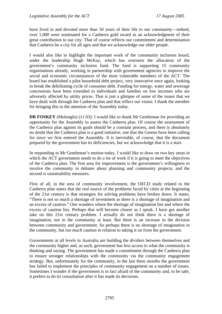have lived in and devoted more than 50 years of their life to our community—indeed, over 1,000 were nominated for a Canberra gold award as an acknowledgment of their great contribution to our city. That of course reflects our commitment and determination that Canberra be a city for all ages and that we acknowledge our older people.

I would also like to highlight the important work of the community inclusion board, under the leadership Hugh McKay, which has overseen the allocation of the government's community inclusion fund. The fund is supporting 15 community organisations already, working in partnership with government agencies to improve the social and economic circumstances of the most vulnerable members of the ACT. The board has established a pilot household debt project, very innovative once again, looking to break the debilitating cycle of consumer debt. Funding for energy, water and sewerage concessions have been extended to individuals and families on low incomes who are adversely affected by utility prices. That is just a glimpse of some of the issues that we have dealt with through the Canberra plan and that reflect our vision. I thank the member for bringing this to the attention of the Assembly today.

**DR FOSKEY** (Molonglo) (11.03): I would like to thank Mr Gentleman for providing an opportunity for the Assembly to assess the Canberra plan. Of course the assessment of the Canberra plan against its goals should be a constant process, and there is absolutely no doubt that the Canberra plan is a good initiative, one that the Greens have been calling for since we first entered the Assembly. It is inevitable, of course, that the document prepared by the government has its deficiencies, but we acknowledge that it is a start.

In responding to Mr Gentleman's motion today, I would like to draw on two key areas in which the ACT government needs to do a lot of work if it is going to meet the objectives of the Canberra plan. The first area for improvement is the government's willingness to involve the community in debates about planning and community projects, and the second is sustainability measures.

First of all, in the area of community involvement, the OECD study related to the Canberra plan states that the real source of the problems faced by cities at the beginning of the 21st century is that strategies for solving problems have broken down. It states, "There is not so much a shortage of investment as there is a shortage of imagination and an excess of caution." One wonders where the shortage of imagination lies and where the excess of caution lies. Perhaps that will become clearer as I speak. I have got another take on this 21st century problem. I actually do not think there is a shortage of imagination, not in the community at least. But there is an increase in the division between community and government. So perhaps there is no shortage of imagination in the community, but too much caution in relation to taking it on from the government.

Governments at all levels in Australia are building the dividers between themselves and the community higher and, as such, government has less access to what the community is thinking and saying. The government has made a commitment through the Canberra plan to ensure stronger relationships with the community via the community engagement strategy. But, unfortunately for the community, in the last three months the government has failed to implement the principles of community engagement on a number of issues. Sometimes I wonder if the government is in fact afraid of the community and, to be safe, it prefers to do its consultation after it has made its decisions.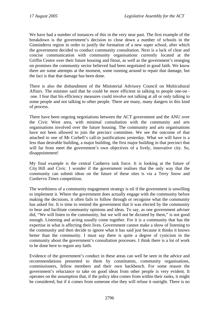We have had a number of instances of this in the very near past. The first example of the breakdown is the government's decision to close down a number of schools in the Ginninderra region in order to justify the formation of a new super school, after which the government decided to conduct community consultation. Next is a lack of clear and concise communication with community organisations currently located at the Griffin Centre over their future housing and fitout, as well as the government's reneging on promises the community sector believed had been negotiated in good faith. We know there are some attempts at the moment, some running around to repair that damage, but the fact is that that damage has been done.

There is also the disbandment of the Ministerial Advisory Council on Multicultural Affairs. The minister said that he could be more efficient in talking to people one-on one. I fear that his efficiency measures could involve not talking at all or only talking to some people and not talking to other people. There are many, many dangers in this kind of process.

There have been ongoing negotiations between the ACT government and the ANU over the Civic West area, with minimal consultation with the community and arts organisations involved over the future housing. The community and arts organisations have not been allowed to join the precinct committee. We see the outcome of that attached to one of Mr Corbell's call-in justifications yesterday. What we will have is a less than desirable building, a major building, the first major building in that precinct that will far from meet the government's own objectives of a lively, innovative city. So, disappointment!

My final example is the central Canberra task force. It is looking at the future of City Hill and Civic. I wonder if the government realises that the only way that the community can submit ideas on the future of these sites is via a Terry Snow and *Canberra Times* competition.

The worthiness of a community engagement strategy is nil if the government is unwilling to implement it. Where the government does actually engage with the community before making the decisions, it often fails to follow through or recognise what the community has asked for. It is time to remind the government that it was elected by the community to hear and facilitate community opinions and ideas. To say, as one government adviser did, "We will listen to the community, but we will not be dictated by them," is not good enough. Listening and acting usually come together. For it is a community that has the expertise in what is affecting their lives. Government cannot make a show of listening to the community and then decide to ignore what it has said just because it thinks it knows better than the community. I must say there is quite a degree of cynicism in the community about the government's consultation processes. I think there is a lot of work to be done here to regain any faith.

Evidence of the government's conduct in these areas can well be seen in the advice and recommendations presented to them by constituents, community organisations, commissioners, fellow members and their own backbench. For some reason the government's reluctance to take on good ideas from other people is very evident. It operates on the assumption that, if the policy idea comes from within their ranks, it might be considered, but if it comes from someone else they will refuse it outright. There is no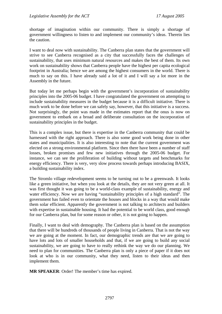shortage of imagination within our community. There is simply a shortage of government willingness to listen to and implement our community's ideas. Therein lies the caution.

I want to deal now with sustainability. The Canberra plan states that the government will strive to see Canberra recognised as a city that successfully faces the challenges of sustainability, that uses minimum natural resources and makes the best of them. Its own work on sustainability shows that Canberra people have the highest per capita ecological footprint in Australia; hence we are among the highest consumers in the world. There is much to say on this. I have already said a lot of it and I will say a lot more in the Assembly in the future.

But today let me perhaps begin with the government's incorporation of sustainability principles into the 2005-06 budget. I have congratulated the government on attempting to include sustainability measures in the budget because it is a difficult initiative. There is much work to be done before we can safely say, however, that this initiative is a success. Not surprisingly, the point was made in the estimates report that the onus is now on government to embark on a broad and deliberate consultation on the incorporation of sustainability principles in the budget.

This is a complex issue, but there is expertise in the Canberra community that could be harnessed with the right approach. There is also some good work being done in other states and municipalities. It is also interesting to note that the current government was elected on a strong environmental platform. Since then there have been a number of staff losses, broken promises and few new initiatives through the 2005-06 budget. For instance, we can see the proliferation of building without targets and benchmarks for energy efficiency. There is very, very slow process towards perhaps introducing BASIX, a building sustainability index.

The Stromlo village redevelopment seems to be turning out to be a greenwash. It looks like a green initiative, but when you look at the details, they are not very green at all. It was first thought it was going to be a world-class example of sustainability, energy and water efficiency. Now we are having "sustainability principles of a high standard". The government has failed even to orientate the houses and blocks in a way that would make them solar efficient. Apparently the government is not talking to architects and builders with expertise in sustainable housing. It had the potential to be world class, good enough for our Canberra plan, but for some reason or other, it is not going to happen.

Finally, I want to deal with demography. The Canberra plan is based on the assumption that there will be hundreds of thousands of people living in Canberra. That is not the way we are going at the moment. In fact, our demographic trends are that we are going to have lots and lots of smaller households and that, if we are going to build any social sustainability, we are going to have to really rethink the way we do our planning. We need to plan for communities. The Canberra plan is only a piece of paper if it does not look at who is in our community, what they need, listen to their ideas and then implement them.

**MR SPEAKER**: Order! The member's time has expired.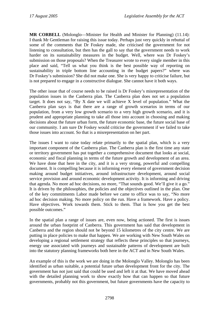**MR CORBELL** (Molonglo—Minister for Health and Minister for Planning) (11.14): I thank Mr Gentleman for raising this issue today. Perhaps just very quickly in rebuttal of some of the comments that Dr Foskey made, she criticised the government for not listening to consultation, but then has the gall to say that the government needs to work harder on its sustainability measures in the budget. Well, where was Dr Foskey's submission on those proposals? When the Treasurer wrote to every single member in this place and said, "Tell us what you think is the best possible way of reporting on sustainability in triple bottom line accounting in the budget papers?" where was Dr Foskey's submission? She did not make one. She is very happy to criticise failure, but is not prepared to engage in a constructive dialogue. She cannot have it both ways.

The other issue that of course needs to be raised is Dr Foskey's misrepresentation of the population issues in the Canberra plan. The Canberra plan does not set a population target. It does not say, "By X date we will achieve X level of population." What the Canberra plan says is that there are a range of growth scenarios in terms of our population, from a very low growth scenario to a very high growth scenario, and it is prudent and appropriate planning to take all those into account in choosing and making decisions about the future urban form, the future economic base, the future social base of our community. I am sure Dr Foskey would criticise the government if we failed to take those issues into account. So that is a misrepresentation on her part.

The issues I want to raise today relate primarily to the spatial plan, which is a very important component of the Canberra plan. The Canberra plan is the first time any state or territory government has put together a comprehensive document that looks at social, economic and fiscal planning in terms of the future growth and development of an area. We have done that here in the city, and it is a very strong, powerful and compelling document. It is compelling because it is informing every element of government decision making around budget initiatives, around infrastructure development, around social service provision and around economic development activity. It is informing and driving that agenda. No more ad hoc decisions, no more, "That sounds good. We'll give it a go." It is driven by the philosophies, the policies and the objectives outlined in the plan. One of the key commitments Labor made before we came to office was to say, "No more ad hoc decision making. No more policy on the run. Have a framework. Have a policy. Have objectives. Work towards them. Stick to them. That is how you get the best possible outcomes."

In the spatial plan a range of issues are, even now, being actioned. The first is issues around the urban footprint of Canberra. This government has said that development in Canberra and the region should not be beyond 15 kilometres of the city centre. We are putting in place policies to make that happen. We are working with New South Wales on developing a regional settlement strategy that reflects these principles so that journeys, energy use associated with journeys and sustainable patterns of development are built into the statutory planning frameworks both here in the ACT and in New South Wales.

An example of this is the work we are doing in the Molonglo Valley. Molonglo has been identified as urban suitable, a potential future urban development front for the city. The government has not just said that could be used and left it at that. We have moved ahead with the detailed planning work to show exactly how that can happen so that future governments, probably not this government, but future governments have the capacity to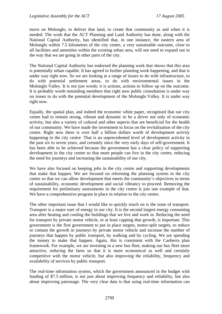move on Molonglo, to deliver that land, to create that community as and when it is needed. The work that the ACT Planning and Land Authority has done, along with the National Capital Authority, has identified that, in one instance, the eastern area of Molonglo within 7.5 kilometres of the city centre, a very sustainable outcome, close to all facilities and amenities within the existing urban area, will not need to expand out in the way that we are going in other parts of the city.

The National Capital Authority has endorsed the planning work that shows that this area is potentially urban capable. It has agreed to further planning work happening, and that is under way right now. So we are looking at a range of issues to do with infrastructure, to do with potential settlement areas, to do with environmental issues in the Molonglo Valley. It is not just words; it is actions, actions to follow up on the outcome. It is probably worth reminding members that right now public consultation is under way on issues to do with the potential development of the Molonglo Valley. It is under way right now.

Equally, the spatial plan, and indeed the economic white paper, recognised that our city centre had to remain strong, vibrant and dynamic to be a driver not only of economic activity, but also a variety of cultural and other aspects that are beneficial for the health of our community. We have made the investment to focus on the revitalisation of the city centre. Right now there is over half a billion dollars worth of development activity happening in the city centre. That is an unprecedented level of development activity in the past six to seven years, and certainly since the very early days of self-government. It has been able to be achieved because the government has a clear policy of supporting development in the city centre so that more people can live in the city centre, reducing the need for journeys and increasing the sustainability of our city.

We have also focused on keeping jobs in the city centre and supporting developments that make that happen. We are focused on reforming the planning system in the city centre so that we can allow development that meets the community's objectives in terms of sustainability, economic development and social vibrancy to proceed. Removing the requirement for preliminary assessments in the city centre is just one example of that. We have a comprehensive program in place in relation to the city centre.

The other important issue that I would like to quickly touch on is the issue of transport. Transport is a major user of energy in our city. It is the second largest energy consuming area after heating and cooling the buildings that we live and work in. Reducing the need for transport by private motor vehicle, or at least capping that growth, is important. This government is the first government to put in place targets, motor-split targets, to reduce or contain the growth in journeys by private motor vehicle and increase the number of journeys that happen by public transport, by walking and by cycling. We are spending the money to make that happen. Again, this is consistent with the Canberra plan framework. For example, we are investing in a new bus fleet, making our bus fleet more attractive, reducing the fares so that it is more economical as well and certainly competitive with the motor vehicle, but also improving the reliability, frequency and availability of services by public transport.

The real-time information system, which the government announced in the budget with funding of \$7.5 million, is not just about improving frequency and reliability, but also about improving patronage. The very clear data is that using real-time information can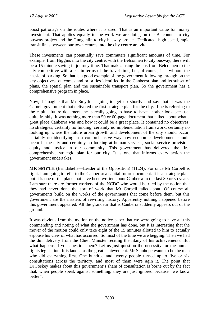boost patronage on the routes where it is used. That is an important value for money investment. That applies equally to the work we are doing on the Belconnen to city busway project and the Gungahlin to city busway project. Dedicated, high speed, rapid transit links between our town centres into the city centre are vital.

These investments can potentially save commuters significant amounts of time. For example, from Higgins into the city centre, with the Belconnen to city busway, there will be a 15-minute saving in journey time. That makes using the bus from Belconnen to the city competitive with a car in terms of the travel time, but, of course, it is without the hassle of parking. So that is a good example of the government following through on the key objectives, outcomes and priorities identified in the Canberra plan and its subset of plans, the spatial plan and the sustainable transport plan. So the government has a comprehensive program in place.

Now, I imagine that Mr Smyth is going to get up shortly and say that it was the Carnell government that delivered the first strategic plan for the city. If he is referring to the capital future document, he is really going to have to have another look because, quite frankly, it was nothing more than 50 or 60-page document that talked about what a great place Canberra was and how it could be a great place. It contained no objectives; no strategies; certainly no funding; certainly no implementation framework; certainly no looking up where the future urban growth and development of the city should occur; certainly no identifying in a comprehensive way how economic development should occur in the city and certainly no looking at human services, social service provision, equity and justice in our community. This government has delivered the first comprehensive strategic plan for our city. It is one that informs every action the government undertakes.

**MR SMYTH** (Brindabella—Leader of the Opposition) (11.24): For once Mr Corbell is right. I am going to refer to the Canberra: a capital future document*.* It is a strategic plan, but it is one of the plans that have been written about Canberra in the last 30 or so years. I am sure there are former workers of the NCDC who would be riled by the notion that they had never done the sort of work that Mr Corbell talks about. Of course all governments build on the works of the governments that come before them, but this government are the masters of rewriting history. Apparently nothing happened before this government appeared. All the grandeur that is Canberra suddenly appears out of the ground.

It was obvious from the motion on the notice paper that we were going to have all this commending and noting of what the government has done, but it is interesting that the mover of the motion could only take eight of the 15 minutes allotted to him to actually espouse his view of what has occurred. So most of the time we are begging. Then we had the dull delivery from the Chief Minister reciting the litany of his achievements. But what happens if you question them? Let us just question the necessity for the human rights legislation. It is lauded as the great achievement. Mr Stanhope wants to be the man who did everything first. One hundred and twenty people turned up to five or six consultations across the territory, and most of them were agin it. The point that Dr Foskey makes about this government's sham of consultation is borne out by the fact that, when people speak against something, they are just ignored because "we know better".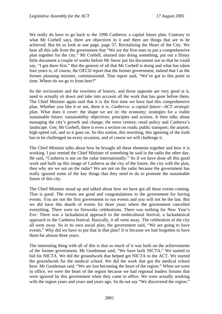We really do have to go back to the 1996 Canberra: a capital future plan. Contrary to what Mr Corbell says, there are objectives in it and there are things that are to be achieved. But let us look at one page, page 57, Revitalising the Heart of the City. We hear all this talk from the government that "We are the first ones to put a comprehensive plan together for the city." Mr Corbell, shamed into doing something, put out a flimsy little document a couple of weeks before Mr Snow put his document out so that he could say, "I got there first." But the genesis of all that Mr Corbell is doing and what has taken four years is, of course, the OECD report that the former government, indeed that I as the former planning minister, commissioned. That report said, "We've got to this point in time. Where do we go to from here?"

So the revisionists and the rewriters of history, and those opposite are very good at it, need to actually sit down and take into account all the work that has gone before them. The Chief Minister again said that it is the first time we have had this comprehensive plan. Whether you like it or not, there it is: *Canberra: a capital future—ACT strategic plan*. What does it cover: the shape we are in; the economy; strategies for a viable sustainable future; sustainability objectives; principles and actions. It then talks about managing the city's growth and change; the town centres; retail policy and Canberra's landscape. Gee, Mr Corbell, there is even a section on roads; public transport; the airport; high-speed rail, and so it goes on. So this notion, this rewriting, this ignoring of the truth has to be challenged on every occasion, and of course we will challenge it.

The Chief Minister talks about how he brought all these elements together and how it is working. I just remind the Chief Minister of something he said in the radio the other day. He said, "Canberra is not on the radar internationally." So if we have done all this good work and built up this image of Canberra as the city of the future, the city with the plan, then why are we not on the radar? We are not on the radar because the government has really ignored some of the key things that they need to do to promote the sustainable future of this city.

The Chief Minister stood up and talked about how we have got all these events coming. That is good. The events are good and congratulations to the government for having events. You are not the first government to run events and you will not be the last. But we did have this dearth of events for three years where the government cancelled everything. There were no fireworks celebrations. There was nothing for New Year's Eve. There was a lackadaisical approach to the multicultural festival, a lackadaisical approach to the Canberra festival. Basically, it all went away. The celebration of the city all went away. So in its own social plan, the government said, "We are going to have events." Why did we have to put that in that plan? It is because we had forgotten to have them for almost three years.

The interesting thing with all of this is that so much of it was built on the achievements of the former government. Mr Gentleman said, "We have built NICTA." We started to bid for NICTA. We did the groundwork that helped get NICTA to the ACT. We started the groundwork for the medical school. We did the work that got the medical school here. Mr Gentleman said, "We are fast becoming the heart of the region." When we were in office, we were the heart of the region because we had regional leaders forums that were ignored by this government when they came to office. We were actually working with the region years and years and years ago. So do not say "We discovered the region."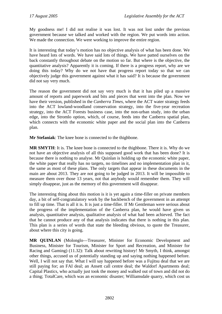My goodness me! I did not realise it was lost. It was not lost under the previous government because we talked and worked with the region. We put words into action. We made the connection. We were working to improve the entire region.

It is interesting that today's motion has no objective analysis of what has been done. We have heard lots of words. We have said lots of things. We have patted ourselves on the back constantly throughout debate on the motion so far. But where is the objective, the quantitative analysis? Apparently it is coming. If there is a progress report, why are we doing this today? Why do we not have that progress report today so that we can objectively judge this government against what it has said? It is because the government did not say very much.

The reason the government did not say very much is that it has piled up a massive amount of reports and paperwork and bits and pieces that went into the plan. Now we have their version, published in the *Canberra Times,* where the ACT water strategy feeds into the ACT lowland-woodland conservation strategy, into the five-year recreation strategy, into the ACT Forests business case, into the non-urban study, into the urban edge, into the Stromlo option, which, of course, feeds into the Canberra spatial plan, which connects with the economic white paper and the social plan into the Canberra plan.

**Mr Stefaniak**: The knee bone is connected to the thighbone.

**MR SMYTH**: It is. The knee bone is connected to the thighbone. There it is. Why do we not have an objective analysis of all this supposed good work that has been done? It is because there is nothing to analyse. Mr Quinlan is holding up the economic white paper, the white paper that really has no targets, no timelines and no implementation plan in it, the same as most of these plans. The only targets that appear in these documents in the main are about 2013. They are not going to be judged in 2013. It will be impossible to measure them over those 13 years, not that anybody would remember them. They will simply disappear, just as the memory of this government will disappear.

The interesting thing about this motion is it is yet again a time-filler on private members day, a bit of self-congratulatory work by the backbench of the government in an attempt to fill up time. That is all it is. It is just a time-filler. If Mr Gentleman were serious about the progress of the implementation of the Canberra plan, he would have given us analysis, quantitative analysis, qualitative analysis of what had been achieved. The fact that he cannot produce any of that analysis indicates that there is nothing in this plan. This plan is a series of words that state the bleeding obvious, to quote the Treasurer, about where this city is going.

**MR QUINLAN** (Molonglo—Treasurer, Minister for Economic Development and Business, Minister for Tourism, Minister for Sport and Recreation, and Minister for Racing and Gaming) (11.32): Talk about rewriting history! Mr Smyth, I think, amongst other things, accused us of potentially standing up and saying nothing happened before. Well, I will not say that. What I will say happened before was a Fujitsu deal that we are still paying for; an FAI deal; an Ansett call centre deal; the Waldorf Apartments deal; Capital Plastics, who actually just took the money and walked out of town and did not do a thing; TotalCare, which was an economic disaster; Williamsdale quarry, which cost us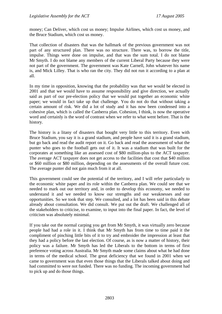money; Can Deliver, which cost us money; Impulse Airlines, which cost us money, and the Bruce Stadium, which cost us money.

That collection of disasters that was the hallmark of the previous government was not part of any structured plan. There was no structure. There was, to borrow the title, impulse. Things were done on impulse, and that was the sum total. I do not blame Mr Smyth. I do not blame any members of the current Liberal Party because they were not part of the government. The government was Kate Carnell, John whatever his name is, and Mick Lilley. That is who ran the city. They did not run it according to a plan at all.

In my time in opposition, knowing that the probability was that we would be elected in 2001 and that we would have to assume responsibility and give direction, we actually said as part of our pre-election policy that we would put together an economic white paper; we would in fact take up that challenge. You do not do that without taking a certain amount of risk. We did a lot of study and it has now been condensed into a cohesive plan, which is called the Canberra plan. Cohesion, I think, is now the operative word and certainly is the word of contrast when we refer to what went before. That is the history.

The history is a litany of disasters that bought very little to this territory. Even with Bruce Stadium, you say it is a grand stadium, and people have said it is a grand stadium, but go back and read the audit report on it. Go back and read the assessment of what the punter who goes to the football gets out of it. It was a stadium that was built for the corporates at something like an assessed cost of \$80 million-plus to the ACT taxpayer. The average ACT taxpayer does not get access to the facilities that cost that \$40 million or \$60 million or \$80 million, depending on the assessments of the overall future cost. The average punter did not gain much from it at all.

This government could see the potential of the territory, and I will refer particularly to the economic white paper and its role within the Canberra plan. We could see that we needed to mark out our territory and, in order to develop this economy, we needed to understand it and we needed to know our strengths and our weaknesses and our opportunities. So we took that step. We consulted, and a lot has been said in this debate already about consultation. We did consult. We put out the draft. We challenged all of the stakeholders to criticise, to examine, to input into the final paper. In fact, the level of criticism was absolutely minimal.

If you take out the normal carping you get from Mr Smyth, it was virtually zero because people had had a role in it. I think that Mr Smyth has from time to time paid it the compliment of pinching little bits of it to try and embroider the impression at least that they had a policy before the last election. Of course, as is now a matter of history, their policy was a failure. Mr Smyth has led the Liberals to the bottom in terms of first preference voting across Australia. Mr Smyth made some claims about what he had done in terms of the medical school. The great deficiency that we found in 2001 when we came to government was that even those things that the Liberals talked about doing and had committed to were not funded. There was no funding. The incoming government had to pick up and do those things.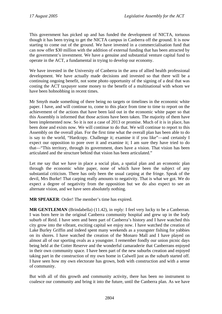This government has picked up and has funded the development of NICTA, tortuous though it has been trying to get the NICTA campus in Canberra off the ground. It is now starting to come out of the ground. We have invested in a commercialisation fund that can now offer \$30 million with the addition of external funding that has been attracted by the government's investment. We have a genuine and substantial venture capital fund to operate in the ACT, a fundamental in trying to develop our economy.

We have invested in the University of Canberra in the area of allied health professional development. We have actually made decisions and invested so that there will be a continuing ongoing benefit, not some photo opportunity of the signing of a deal that was costing the ACT taxpayer some money to the benefit of a multinational with whom we have been hobnobbing in recent times.

Mr Smyth made something of there being no targets or timelines in the economic white paper. I have, and will continue to, come to this place from time to time to report on the achievement of the actions that have been laid out in the economic white paper so that this Assembly is informed that those actions have been taken. The majority of them have been implemented now. So it is not a case of 2013 or promise. Much of it is in place, has been done and exists now. We will continue to do that. We will continue to report to this Assembly on the overall plan. For the first time what the overall plan has been able to do is say to the world, "Hardcopy. Challenge it; examine it if you like"—and certainly I expect our opposition to pore over it and examine it; I am sure they have tried to do that—"This territory, through its government, does have a vision. That vision has been articulated and the structure behind that vision has been articulated."

Let me say that we have in place a social plan, a spatial plan and an economic plan through the economic white paper, none of which have been the subject of any substantial criticism. There has only been the usual carping at the fringe. Speak of the devil, Mrs Burke! That carping really amounts to negativity. That is what we got. We do expect a degree of negativity from the opposition but we do also expect to see an alternate vision, and we have seen absolutely nothing.

**MR SPEAKER**: Order! The member's time has expired.

**MR GENTLEMAN** (Brindabella) (11.42), in reply: I feel very lucky to be a Canberran. I was born here in the original Canberra community hospital and grew up in the leafy suburb of Reid. I have seen and been part of Canberra's history and I have watched this city grow into the vibrant, exciting capital we enjoy now. I have watched the creation of Lake Burley Griffin and indeed spent many weekends as a youngster fishing for yabbies on its shores. I have watched the creation of the Monaro Mall and I have played on almost all of our sporting ovals as a youngster. I remember fondly our union picnic days being held at the Cotter Reserve and the wonderful camaraderie that Canberrans enjoyed in their own community space. I have been part of the new suburbs creation and enjoyed taking part in the construction of my own home in Calwell just as the suburb started off. I have seen how my own electorate has grown, both with construction and with a sense of community.

But with all of this growth and community activity, there has been no instrument to coalesce our community and bring it into the future, until the Canberra plan. As we have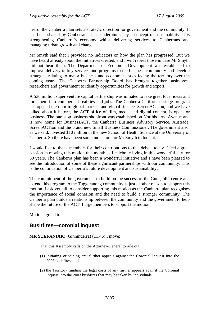<span id="page-20-0"></span>heard, the Canberra plan sets a strategic direction for government and the community. It has been shaped by Canberrans. It is underpinned by a concept of sustainability. It is strengthening Canberra's economy whilst delivering services to Canberrans and managing urban growth and change.

Mr Smyth said that I provided no indicators on how the plan has progressed. But we have heard already about the initiatives created, and I will repeat those in case Mr Smyth did not hear them. The Department of Economic Development was established to improve delivery of key services and programs to the business community and develop strategies relating to major business and economic issues facing the territory over the coming years. The Canberra Partnership Board has brought together businesses, researchers and government to identify opportunities for growth and export.

A \$30 million super venture capital partnership was initiated to take great local ideas and turn them into commercial realities and jobs. The Canberra-California bridge program has opened the door to global markets and global finance. ScreenACTion, and we have talked about it before, the ACT office of film, media and digital content, is open for business. The one stop business shopfront was established on Northbourne Avenue and is now home for BusinessACT, the Canberra Business Advisory Service, Austrade, ScreenACTion and the brand new Small Business Commissioner. The government also, as we said, invested \$10 million in the new School of Health Science at the University of Canberra. So there have been some indicators for Mr Smyth to look at.

I would like to thank members for their contributions to this debate today. I feel a great passion in moving this motion this month as I celebrate living in this wonderful city for 50 years. The Canberra plan has been a wonderful initiative and I have been pleased to see the introduction of some of these significant partnerships with our community. This is the continuation of Canberra's future development and sustainability.

The commitment of the government to build on the success of the Gungahlin centre and extend this program to the Tuggeranong community is just another reason to support this motion. I ask you all to consider supporting this motion as the Canberra plan recognises the importance of social cohesion and the need to build a stronger community. The Canberra plan builds a relationship between the community and the government to help shape the future of the ACT. I urge members to support the motion.

Motion agreed to.

# **Bushfires—coronial inquest**

#### **MR STEFANIAK**: (Ginninderra) (11.46) I move:

That this Assembly calls on the Attorney-General to rule out:

- (1) initiating or joining any further appeals against the Coronial Inquest into the 2003 bushfires; and
- (2) the Territory funding the legal costs of any further appeals against the Coronial Inquest into the 2003 bushfires that may be taken by individuals.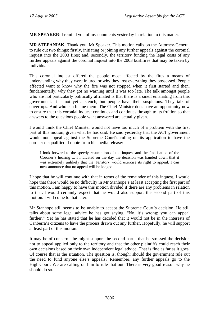**MR SPEAKER**: I remind you of my comments yesterday in relation to this matter.

**MR STEFANIAK**: Thank you, Mr Speaker. This motion calls on the Attorney-General to rule out two things: firstly, initiating or joining any further appeals against the coronial inquest into the 2003 fires; and, secondly, the territory funding the legal costs of any further appeals against the coronial inquest into the 2003 bushfires that may be taken by individuals.

This coronial inquest offered the people most affected by the fires a means of understanding why they were injured or why they lost everything they possessed. People affected want to know why the fire was not stopped when it first started and then, fundamentally, why they got no warning until it was too late. The talk amongst people who are not particularly politically affiliated is that there is a smell emanating from this government. It is not yet a stench, but people have their suspicions. They talk of cover-ups. And who can blame them! The Chief Minister does have an opportunity now to ensure that this coronial inquest continues and continues through to its fruition so that answers to the questions people want answered are actually given.

I would think the Chief Minister would not have too much of a problem with the first part of this motion, given what he has said. He said yesterday that the ACT government would not appeal against the Supreme Court's ruling on its application to have the coroner disqualified. I quote from his media release:

I look forward to the speedy resumption of the inquest and the finalisation of the Coroner's hearing ... I indicated on the day the decision was handed down that it was extremely unlikely that the Territory would exercise its right to appeal. I can now announce that no appeal will be lodged.

I hope that he will continue with that in terms of the remainder of this inquest. I would hope that there would be no difficulty in Mr Stanhope's at least accepting the first part of this motion. I am happy to have this motion divided if there are any problems in relation to that. I would certainly expect that he would also support the second part of this motion. I will come to that later.

Mr Stanhope still seems to be unable to accept the Supreme Court's decision. He still talks about some legal advice he has got saying, "No, it's wrong; you can appeal further." Yet he has stated that he has decided that it would not be in the interests of Canberra's citizens to have the process drawn out any further. Hopefully, he will support at least part of this motion.

It may be of concern—he might support the second part—that he stressed the decision not to appeal applied only to the territory and that the other plaintiffs could reach their own decisions based on their own independent legal advice. That is fine as far as it goes. Of course that is the situation. The question is, though: should the government rule out the need to fund anyone else's appeals? Remember, any further appeals go to the High Court. We are calling on him to rule that out. There is very good reason why he should do so.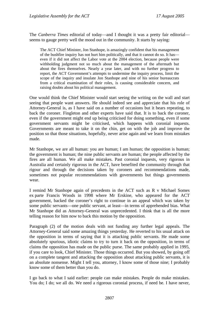The *Canberra Times* editorial of today—and I thought it was a pretty fair editorial seems to gauge pretty well the mood out in the community. It starts by saying:

The ACT Chief Minister, Jon Stanhope, is amazingly confident that his management of the bushfire inquiry has not hurt him politically, and that it cannot do so. It has even if it did not affect the Labor vote at the 2004 election, because people were withholding judgment not so much about the management of the aftermath but about the fires themselves. Nearly a year later, and with no further progress to report, the ACT Government's attempts to undermine the inquiry process, limit the scope of the inquiry and insulate Jon Stanhope and nine of his senior bureaucrats from a critical examination of their roles, is causing considerable concern, and raising doubts about his political management.

One would think the Chief Minister would start seeing the writing on the wall and start seeing that people want answers. He should indeed see and appreciate that his role of Attorney-General is, as I have said on a number of occasions but it bears repeating, to back the coroner. Fingleton and other experts have said that. It is to back the coroner, even if the government might end up being criticised for doing something, even if some government servants might be criticised, which happens with coronial inquests. Governments are meant to take it on the chin, get on with the job and improve the position so that those situations, hopefully, never arise again and we learn from mistakes made.

Mr Stanhope, we are all human: you are human; I am human; the opposition is human; the government is human; the nine public servants are human; the people affected by the fires are all human. We all make mistakes. Past coronial inquests, very rigorous in Australia and certainly rigorous in the ACT, have benefited the community through that rigour and through the decisions taken by coroners and recommendations made, sometimes not popular recommendations with governments but things governments wear.

I remind Mr Stanhope again of precedents in the ACT such as R v Michael Somes ex parte Francis Woods in 1998 where Mr Erskine, who appeared for the ACT government, backed the coroner's right to continue in an appeal which was taken by some public servants—one public servant, at least—in terms of apprehended bias. What Mr Stanhope did as Attorney-General was unprecedented. I think that is all the more telling reason for him now to back this motion by the opposition.

Paragraph (2) of the motion deals with not funding any further legal appeals. The Attorney-General said some amazing things yesterday. He reverted to his usual attack on the opposition in terms of saying that it is attacking public servants. He made some absolutely spurious, idiotic claims to try to turn it back on the opposition, in terms of claims the opposition has made on the public purse. The same probably applied in 1995, if you care to look, Chief Minister. Those things occurred. But you showed, by going off on a complete tangent and attacking the opposition about attacking public servants, it is an absolute nonsense. Might I tell you, attorney, I know some of those nine; I probably know some of them better than you do.

I go back to what I said earlier: people can make mistakes. People do make mistakes. You do; I do; we all do. We need a rigorous coronial process, if need be. I have never,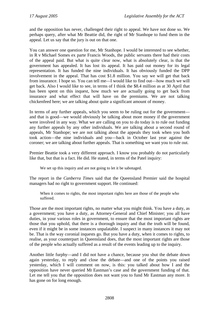and the opposition has never, challenged their right to appeal. We have not done so. We perhaps query, after what Mr Beattie did, the right of Mr Stanhope to fund them in the appeal. Let us say that the jury is out on that one.

You can answer one question for me, Mr Stanhope. I would be interested to see whether, in R v Michael Somes ex parte Francis Woods, the public servants there had their costs of the appeal paid. But what is quite clear now, what is absolutely clear, is that the government has appealed. It has lost its appeal. It has paid out money for its legal representation. It has funded the nine individuals. It has obviously funded the DPP involvement in the appeal. That has cost \$1.8 million. You say we will get that back from insurance. I hope so. You can tell me—I would like to find out—how much we will get back. Also I would like to see, in terms of I think the \$8.4 million as at 30 April that has been spent on this inquest, how much we are actually going to get back from insurance and what effect that will have on the premiums. We are not talking chickenfeed here; we are talking about quite a significant amount of money.

In terms of any further appeals, which you seem to be ruling out for the government and that is good—we would obviously be talking about more money if the government were involved in any way. What we are calling on you to do today is to rule out funding any further appeals by any other individuals. We are talking about a second round of appeals, Mr Stanhope; we are not talking about the appeals they took when you both took action—the nine individuals and you—back in October last year against the coroner; we are talking about further appeals. That is something we want you to rule out.

Premier Beattie took a very different approach. I know you probably do not particularly like that, but that is a fact. He did. He stated, in terms of the Patel inquiry:

We set up this inquiry and are not going to let it be sabotaged.

The report in the *Canberra Times* said that the Queensland Premier said the hospital managers had no right to government support. He continued:

When it comes to rights, the most important rights here are those of the people who suffered.

Those are the most important rights, no matter what you might think. You have a duty, as a government; you have a duty, as Attorney-General and Chief Minister; you all have duties, in your various roles in government, to ensure that the most important rights are those that you uphold, that there is a thorough inquiry and that the truth will be found, even if it might be in some instances unpalatable. I suspect in many instances it may not be. That is the way coronial inquests go. But you have a duty, when it comes to rights, to realise, as your counterpart in Queensland does, that the most important rights are those of the people who actually suffered as a result of the events leading up to the inquiry.

Another little furphy—and I did not have a chance, because you shut the debate down again yesterday, to reply and close the debate—and one of the points you raised yesterday, which I will comment on now, is this: you talked about how I and the opposition have never queried Mr Eastman's case and the government funding of that. Let me tell you that the opposition does not want you to fund Mr Eastman any more. It has gone on for long enough.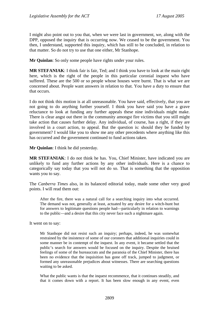I might also point out to you that, when we were last in government, we, along with the DPP, opposed the inquiry that is occurring now. We ceased to be the government. You then, I understand, supported this inquiry, which has still to be concluded, in relation to that matter. So do not try to use that one either, Mr Stanhope.

**Mr Quinlan**: So only some people have rights under your rules.

**MR STEFANIAK**: I think fair is fair, Ted; and I think you have to look at the main right here, which is the right of the people in this particular coronial inquest who have suffered. These are the 500 or so people whose houses were burnt. That is what we are concerned about. People want answers in relation to that. You have a duty to ensure that that occurs.

I do not think this motion is at all unreasonable. You have said, effectively, that you are not going to do anything further yourself. I think you have said you have a grave reluctance to look at funding any further appeals these nine individuals might make. There is clear angst out there in the community amongst fire victims that you still might take action that causes further delay. Any individual, of course, has a right, if they are involved in a court action, to appeal. But the question is: should they be funded by government? I would like you to show me any other precedents where anything like this has occurred and the government continued to fund actions taken.

**Mr Quinlan**: I think he did yesterday.

**MR STEFANIAK**: I do not think he has. You, Chief Minister, have indicated you are unlikely to fund any further actions by any other individuals. Here is a chance to categorically say today that you will not do so. That is something that the opposition wants you to say.

The *Canberra Times* also, in its balanced editorial today, made some other very good points. I will read them out:

After the fire, there was a natural call for a searching inquiry into what occurred. The demand was not, generally at least, actuated by any desire for a witch-hunt but for answers to legitimate questions people had—particularly in relation to warnings to the public—and a desire that this city never face such a nightmare again.

It went on to say:

Mr Stanhope did not resist such an inquiry; perhaps, indeed, he was somewhat restrained by the insistence of some of our coroners that additional inquiries could in some manner be in contempt of the inquest. In any event, it became settled that the public's search for answers would be focused on the inquiry. Despite the bruised feelings of some of the bureaucrats and the paranoia of the Chief Minister, there has been no evidence that the inquisition has gone off track, jumped to judgment, or formed any unreasonable prejudices about witnesses. There are searching questions waiting to be asked.

What the public wants is that the inquest recommence, that it continues steadily, and that it comes down with a report. It has been slow enough in any event, even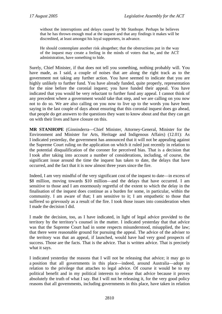without the interruptions and delays caused by Mr Stanhope. Perhaps he believes that he has thrown enough mud at the inquest and that any findings it makes will be discredited, at least amongst his loyal supporters, in advance.

He should contemplate another risk altogether; that the obstructions put in the way of the inquest may create a feeling in the minds of voters that he, and the ACT administration, have something to hide.

Surely, Chief Minister, if that does not tell you something, nothing probably will. You have made, as I said, a couple of noises that are along the right track as to the government not taking any further action. You have seemed to indicate that you are highly unlikely to further fund. You have already funded, quite properly, representation for the nine before the coronial inquest; you have funded their appeal. You have indicated that you would be very reluctant to further fund any appeal. I cannot think of any precedent where a government would take that step, and we are calling on you now not to do so. We are also calling on you now to live up to the words you have been saying in the last couple of days about ensuring that this coronial inquest does go ahead, that people do get answers to the questions they want to know about and that they can get on with their lives and have closure on this.

**MR STANHOPE** (Ginninderra—Chief Minister, Attorney-General, Minister for the Environment and Minister for Arts, Heritage and Indigenous Affairs) (12.01): As I indicated yesterday, the government has announced that it will not be appealing against the Supreme Court ruling on the application on which it ruled just recently in relation to the potential disqualification of the coroner for perceived bias. That is a decision that I took after taking into account a number of considerations, including, of course, the significant issue around the time the inquest has taken to date, the delays that have occurred, and the fact that it is now almost three years since the fire.

Indeed, I am very mindful of the very significant cost of the inquest to date—in excess of \$8 million, moving towards \$10 million—and the delays that have occurred. I am sensitive to those and I am enormously regretful of the extent to which the delay in the finalisation of the inquest does continue as a burden for some, in particular, within the community. I am aware of that; I am sensitive to it; I am empathetic to those that suffered so grievously as a result of the fire. I took those issues into consideration when I made the decision I did.

I made the decision, too, as I have indicated, in light of legal advice provided to the territory by the territory's counsel in the matter. I indicated yesterday that that advice was that the Supreme Court had in some respects misunderstood, misapplied, the law; that there were reasonable ground for pursuing the appeal. The advice of the adviser to the territory was that an appeal, if launched, would have had very good prospects of success. Those are the facts. That is the advice. That is written advice. That is precisely what it says.

I indicated yesterday the reasons that I will not be releasing that advice; it may go to a position that all governments in this place—indeed, around Australia—adopt in relation to the privilege that attaches to legal advice. Of course it would be to my political benefit and in my political interests to release that advice because it proves absolutely the truth of what I say. But I will not be releasing it, for the very good policy reasons that all governments, including governments in this place, have taken in relation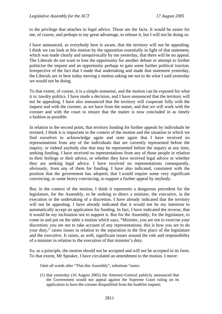to the privilege that attaches to legal advice. Those are the facts. It would be easier for me, of course, and perhaps to my great advantage, to release it, but I will not be doing so.

I have announced, as everybody here is aware, that the territory will not be appealing. I think we can look at this motion by the opposition essentially in light of that statement, which was made clearly and unequivocally by me yesterday, that there will be no appeal. The Liberals do not want to lose the opportunity for another debate or attempt to further politicise the inquest and an opportunity perhaps to gain some further political traction. Irrespective of the fact that I made that undertaking and made that statement yesterday, the Liberals are in here today moving a motion asking me not to do what I said yesterday we would not be doing.

To that extent, of course, it is a simple nonsense, and the motion can be exposed for what it is: tawdry politics. I have made a decision, and I have announced that the territory will not be appealing. I have also announced that the territory will cooperate fully with the inquest and with the coroner, as we have from the outset, and that we will work with the coroner and with the court to ensure that the matter is now concluded in as timely a fashion as possible.

In relation to the second point, that territory funding for further appeals by individuals be resisted, I think it is important in the context of the motion and the situation in which we find ourselves to acknowledge again and state again that I have received no representations from any of the individuals that are currently represented before the inquiry, or indeed anybody else that may be represented before the inquiry at any time, seeking funding. I have received no representations from any of those people in relation to their feelings or their advice, or whether they have received legal advice or whether they are seeking legal advice. I have received no representations consequently, obviously, from any of them for funding. I have also indicated, consistent with the position that the government has adopted, that I would require some very significant convincing, or some heavy convincing, to support a further appeal by anybody.

But, in the context of the motion, I think it represents a dangerous precedent for the legislature, for the Assembly, to be seeking to direct a minister, the executive, in the execution or the undertaking of a discretion. I have already indicated that the territory will not be appealing. I have already indicated that it would not be my intention to automatically accept an application for funding. In fact, I have indicated the reverse, that it would be my inclination not to support it. But for the Assembly, for the legislature, to come in and put on the table a motion which says, "Minister, you are not to exercise your discretion; you are not to take account of any representations; this is how you are to do your duty," raises issues in relation to the separation in the first place of the legislature and the executive. It raises, as well, significant issues around the role and responsibility of a minister in relation to the execution of that minister's duty.

So, as a principle, the motion should not be accepted and will not be accepted in its form. To that extent, Mr Speaker, I have circulated an amendment to the motion. I move:

Omit all words after "That this Assembly", substitute "notes:

(1) that yesterday (16 August 2005) the Attorney-General publicly announced that the Government would not appeal against the Supreme Court ruling on its application to have the coroner disqualified from the bushfire inquest;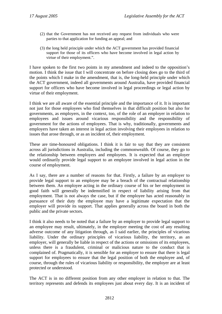- (2) that the Government has not received any request from individuals who were parties to that application for funding an appeal; and
- (3) the long held principle under which the ACT government has provided financial support for those of its officers who have become involved in legal action by virtue of their employment.".

I have spoken to the first two points in my amendment and indeed to the opposition's motion. I think the issue that I will concentrate on before closing does go to the third of the points which I make in the amendment, that is, the long-held principle under which the ACT government, indeed all governments around Australia, have provided financial support for officers who have become involved in legal proceedings or legal action by virtue of their employment.

I think we are all aware of the essential principle and the importance of it. It is important not just for those employees who find themselves in that difficult position but also for governments, as employers, in the context, too, of the role of an employer in relation to employees and issues around vicarious responsibility and the responsibility of government for the actions of employees. That is why, traditionally, governments and employers have taken an interest in legal action involving their employees in relation to issues that arose through, or as an incident of, their employment.

These are time-honoured obligations. I think it is fair to say that they are consistent across all jurisdictions in Australia, including the commonwealth. Of course, they go to the relationship between employers and employees. It is expected that an employer would ordinarily provide legal support to an employee involved in legal action in the course of employment.

As I say, there are a number of reasons for that. Firstly, a failure by an employer to provide legal support to an employee may be a breach of the contractual relationship between them. An employee acting in the ordinary course of his or her employment in good faith will generally be indemnified in respect of liability arising from that employment. That is not always the case, but if the employee has acted reasonably in pursuance of their duty the employee may have a legitimate expectation that the employer will provide its support. That applies generally across the board in both the public and the private sectors.

I think it also needs to be noted that a failure by an employer to provide legal support to an employee may result, ultimately, in the employer meeting the cost of any resulting adverse outcome of any litigation through, as I said earlier, the principles of vicarious liability. Under the ordinary principles of vicarious liability, the territory, as an employer, will generally be liable in respect of the actions or omissions of its employees, unless there is a fraudulent, criminal or malicious nature to the conduct that is complained of. Pragmatically, it is sensible for an employer to ensure that there is legal support for employees to ensure that the legal position of both the employee and, of course, through the rules of vicarious liability or responsibility, the employer are at least protected or understood.

The ACT is in no different position from any other employer in relation to that. The territory represents and defends its employees just about every day. It is an incident of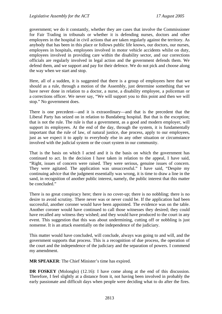government; we do it constantly, whether they are cases that involve the Commissioner for Fair Trading in tribunals or whether it is defending nurses, doctors and other employees in the hospital in civil actions that are taken regularly against the territory. As anybody that has been in this place or follows public life knows, our doctors, our nurses, employees in hospitals, employees involved in motor vehicle accidents whilst on duty, employees involved in providing care within the disability sector, and our corrections officials are regularly involved in legal action and the government defends them. We defend them, and we support and pay for their defence. We do not pick and choose along the way when we start and stop.

Here, all of a sudden, it is suggested that there is a group of employees here that we should as a rule, through a motion of the Assembly, just determine something that we have never done in relation to a doctor, a nurse, a disability employee, a policeman or a corrections officer. We never say, "We will support you to this point and then we will stop." No government does.

There is one precedent—and it is extraordinary—and that is the precedent that the Liberal Party has seized on in relation to Bundaberg hospital. But that is the exception; that is not the rule. The rule is that a government, as a good and modern employer, will support its employees. At the end of the day, through the system, it is fundamentally important that the rule of law, of natural justice, due process, apply to our employees, just as we expect it to apply to everybody else in any other situation or circumstance involved with the judicial system or the court system in our community.

That is the basis on which I acted and it is the basis on which the government has continued to act. In the decision I have taken in relation to the appeal, I have said, "Right, issues of concern were raised. They were serious, genuine issues of concern. They were agitated. The application was unsuccessful." I have said, "Despite my continuing advice that the judgment essentially was wrong, it is time to draw a line in the sand, in recognition of another public interest, namely, the public interest that this matter be concluded."

There is no great conspiracy here; there is no cover-up; there is no nobbling; there is no desire to avoid scrutiny. There never was or never could be. If the application had been successful, another coroner would have been appointed. The evidence was on the table. Another coroner would have continued to call those witnesses they desired; they could have recalled any witness they wished; and they would have produced to the court in any event. This suggestion that this was about undermining, cutting off or nobbling is just nonsense. It is an attack essentially on the independence of the judiciary.

This matter would have concluded, will conclude, always was going to and will, and the government supports that process. This is a recognition of due process, the operation of the court and the independence of the judiciary and the separation of powers. I commend my amendment.

**MR SPEAKER**: The Chief Minister's time has expired.

**DR FOSKEY** (Molonglo) (12.16): I have come along at the end of this discussion. Therefore, I feel slightly at a distance from it, not having been involved in probably the early passionate and difficult days when people were deciding what to do after the fires.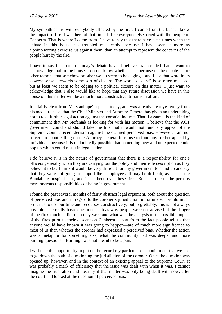My sympathies are with everybody affected by the fires. I come from the bush. I know the impact of fire. I was here at that time. I, like everyone else, cried with the people of Canberra. That is where I come from. I have to say that there have been times when the debate in this house has troubled me deeply, because I have seen it more as a point-scoring exercise, us against them, than an attempt to represent the concerns of the people hurt by the fire.

I have to say that parts of today's debate have, I believe, transcended that. I want to acknowledge that in the house. I do not know whether it is because of the debate or for other reasons that somehow or other we do seem to be edging—and I use that word in its slowest sense—towards some sort of closure. The word "closure" is so often misused, but at least we seem to be edging to a political closure on this matter. I just want to acknowledge that. I also would like to hope that any future discussion we have in this house on this matter will be a much more constructive, tripartisan affair.

It is fairly clear from Mr Stanhope's speech today, and was already clear yesterday from his media release, that the Chief Minister and Attorney-General has given an undertaking not to take further legal action against the coronial inquest. That, I assume, is the kind of commitment that Mr Stefaniak is looking for with his motion. I believe that the ACT government could and should take the line that it would not fund any appeal of the Supreme Court's recent decision against the claimed perceived bias. However, I am not so certain about calling on the Attorney-General to refuse to fund any further appeal by individuals because it is undoubtedly possible that something new and unexpected could pop up which could result in legal action.

I do believe it is in the nature of government that there is a responsibility for one's officers generally when they are carrying out the policy and their role description as they believe it to be. I think it would be very difficult for any government to stand up and say that they were not going to support their employees. It may be difficult, as it is in the Bundaberg hospital case, and it has been over these fires. But it is one of the perhaps more onerous responsibilities of being in government.

I found the past several months of fairly abstract legal argument, both about the question of perceived bias and in regard to the coroner's jurisdiction, unfortunate. I would much prefer us to use our time and recourses constructively; but, regrettably, this is not always possible. The really basic questions such as why people were not advised of the danger of the fires much earlier than they were and what was the analysis of the possible impact of the fires prior to their descent on Canberra—apart from the fact people tell us that anyone would have known it was going to happen—are of much more significance to most of us than whether the coroner had expressed a perceived bias. Whether the action was a metaphor for something else, what the community had was deeper and more burning questions. "Burning" was not meant to be a pun.

I will take this opportunity to put on the record my particular disappointment that we had to go down the path of questioning the jurisdiction of the coroner. Once the question was opened up, however, and in the context of an existing appeal to the Supreme Court, it was probably a mark of efficiency that the issue was dealt with when it was. I cannot imagine the frustration and hostility if that matter was only being dealt with now, after the court had looked at the question of perceived bias.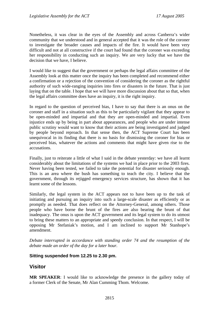<span id="page-30-0"></span>Nonetheless, it was clear in the eyes of the Assembly and across Canberra's wider community that we understood and in general accepted that it was the role of the coroner to investigate the broader causes and impacts of the fire. It would have been very difficult and not at all constructive if the court had found that the coroner was exceeding her responsibility in conducting such an inquiry. We are very lucky that we have the decision that we have, I believe.

I would like to suggest that the government or perhaps the legal affairs committee of the Assembly look at this matter once the inquiry has been completed and recommend either a confirmation or a rejection of the convention of considering the coroner as the rightful authority of such wide-ranging inquiries into fires or disasters in the future. That is just laying that on the table. I hope that we will have more discussion about that so that, when the legal affairs committee does have an inquiry, it is the right inquiry.

In regard to the question of perceived bias, I have to say that there is an onus on the coroner and staff in a situation such as this to be particularly vigilant that they appear to be open-minded and impartial and that they are open-minded and impartial. Even injustice ends up by being in part about appearances, and people who are under intense public scrutiny would want to know that their actions are being investigated and judged by people beyond reproach. In that sense then, the ACT Supreme Court has been unequivocal in its finding that there is no basis for dismissing the coroner for bias or perceived bias, whatever the actions and comments that might have given rise to the accusations.

Finally, just to reiterate a little of what I said in the debate yesterday: we have all learnt considerably about the limitations of the systems we had in place prior to the 2003 fires. Never having been tested, we failed to take the potential for disaster seriously enough. This is an area where the bush has something to teach the city. I believe that the government, through its rejigged emergency services structure, has shown that it has learnt some of the lessons.

Similarly, the legal system in the ACT appears not to have been up to the task of initiating and pursuing an inquiry into such a large-scale disaster as efficiently or as promptly as needed. That does reflect on the Attorney-General, among others. Those people who have borne the brunt of the fires are also bearing the brunt of that inadequacy. The onus is upon the ACT government and its legal system to do its utmost to bring these matters to an appropriate and speedy conclusion. In that respect, I will be opposing Mr Stefaniak's motion, and I am inclined to support Mr Stanhope's amendment.

*Debate interrupted in accordance with standing order 74 and the resumption of the debate made an order of the day for a later hour.* 

#### **Sitting suspended from 12.25 to 2.30 pm.**

# **Visitor**

**MR SPEAKER**: I would like to acknowledge the presence in the gallery today of a former Clerk of the Senate, Mr Alan Cumming Thom. Welcome.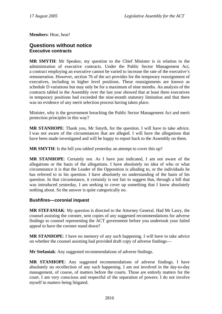<span id="page-31-0"></span>**Members**: Hear, hear!

## **Questions without notice Executive contracts**

**MR SMYTH**: Mr Speaker, my question to the Chief Minister is in relation to the administration of executive contracts. Under the Public Sector Management Act, a contract employing an executive cannot be varied to increase the rate of the executive's remuneration. However, section 76 of the act provides for the temporary reassignment of executives, including to higher level positions. These reassignments are known as schedule D variations but may only be for a maximum of nine months. An analysis of the contracts tabled in the Assembly over the last year showed that at least three executives in temporary positions had exceeded the nine-month statutory limitation and that there was no evidence of any merit selection process having taken place.

Minister, why is the government breaching the Public Sector Management Act and merit protection principles in this way?

**MR STANHOPE**: Thank you, Mr Smyth, for the question. I will have to take advice. I was not aware of the circumstances that are alleged. I will have the allegations that have been made investigated and will be happy to report back to the Assembly on them.

**MR SMYTH**: Is the bill you tabled yesterday an attempt to cover this up?

**MR STANHOPE**: Certainly not. As I have just indicated, I am not aware of the allegations or the basis of the allegations. I have absolutely no idea of who or what circumstance it is that the Leader of the Opposition is alluding to, or the individuals he has referred to in his question. I have absolutely no understanding of the basis of his question. In that circumstance, it certainly is not fair to suggest that, through a bill that was introduced yesterday, I am seeking to cover up something that I know absolutely nothing about. So the answer is quite categorically no.

## **Bushfires—coronial inquest**

**MR STEFANIAK**: My question is directed to the Attorney General. Had Mr Lasry, the counsel assisting the coroner, sent copies of any suggested recommendations for adverse findings to counsel representing the ACT government before you undertook your failed appeal to have the coroner stand down?

**MR STANHOPE**: I have no memory of any such happening. I will have to take advice on whether the counsel assisting had provided draft copy of adverse findings—

**Mr Stefaniak**: Any suggested recommendations of adverse findings.

**MR STANHOPE**: Any suggested recommendations of adverse findings. I have absolutely no recollection of any such happening. I am not involved in the day-to-day management, of course, of matters before the courts. Those are entirely matters for the court. I am very conscious and respectful of the separation of powers: I do not involve myself in matters being litigated.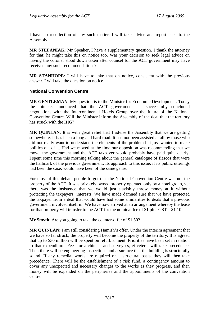<span id="page-32-0"></span>I have no recollection of any such matter. I will take advice and report back to the Assembly.

**MR STEFANIAK**: Mr Speaker, I have a supplementary question. I thank the attorney for that; he might take this on notice too. Was your decision to seek legal advice on having the coroner stood down taken after counsel for the ACT government may have received any such recommendations?

**MR STANHOPE**: I will have to take that on notice, consistent with the previous answer. I will take the question on notice.

### **National Convention Centre**

**MR GENTLEMAN**: My question is to the Minister for Economic Development. Today the minister announced that the ACT government has successfully concluded negotiations with the Intercontinental Hotels Group over the future of the National Convention Centre. Will the Minister inform the Assembly of the deal that the territory has struck with the IHG?

**MR QUINLAN**: It is with great relief that I advise the Assembly that we are getting somewhere. It has been a long and hard road. It has not been assisted at all by those who did not really want to understand the elements of the problem but just wanted to make politics out of it. Had we moved at the time our opposition was recommending that we move, the government and the ACT taxpayer would probably have paid quite dearly. I spent some time this morning talking about the general catalogue of fiascos that were the hallmark of the previous government. Its approach to this issue, if its public utterings had been the case, would have been of the same genre.

For most of this debate people forgot that the National Convention Centre was not the property of the ACT. It was privately owned property operated only by a hotel group, yet there was the insistence that we would just slavishly throw money at it without protecting the taxpayers' interests. We have made damned sure that we have protected the taxpayer from a deal that would have had some similarities to deals that a previous government involved itself in. We have now arrived at an arrangement whereby the lease for that property will transfer to the ACT for the nominal fee of \$1 plus GST—\$1.10.

**Mr Smyth**: Are you going to take the counter-offer of \$1.50?

**MR QUINLAN**: I am still considering Hamish's offer. Under the interim agreement that we have so far struck, the property will become the property of the territory. It is agreed that up to \$30 million will be spent on refurbishment. Priorities have been set in relation to that expenditure. Fees for architects and surveyors, et cetera, will take precedence. Then there will be engineering inspections and assurance that the building is structurally sound. If any remedial works are required on a structural basis, they will then take precedence. There will be the establishment of a risk fund, a contingency amount to cover any unexpected and necessary changes to the works as they progress, and then money will be expended on the peripheries and the appointments of the convention centre.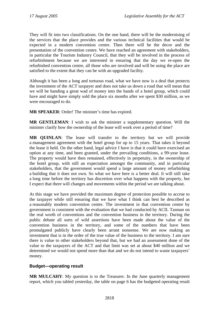<span id="page-33-0"></span>They will fit into two classifications. On the one hand, there will be the modernising of the services that the place provides and the various technical facilities that would be expected in a modern convention centre. Then there will be the decor and the presentation of the convention centre. We have reached an agreement with stakeholders, in particular the Tourism Industry Council, that they will be involved in the process of refurbishment because we are interested in ensuring that the day we re-open the refurbished convention centre, all those who are involved and will be using the place are satisfied to the extent that they can be with an upgraded facility.

Although it has been a long and tortuous road, what we have now is a deal that protects the investment of the ACT taxpayer and does not take us down a road that will mean that we will be handing a great wad of money into the hands of a hotel group, which could have and might have simply sold the place six months after we spent \$30 million, as we were encouraged to do.

**MR SPEAKER**: Order! The minister's time has expired.

**MR GENTLEMAN**: I wish to ask the minister a supplementary question. Will the minister clarify how the ownership of the lease will work over a period of time?

**MR QUINLAN**: The lease will transfer to the territory but we will provide a management agreement with the hotel group for up to 15 years. That takes it beyond the lease it held. On the other hand, legal advice I have is that it could have exercised an option at any time, and been granted, under the prevailing conditions, a 99-year lease. The property would have then remained, effectively in perpetuity, in the ownership of the hotel group, with still an expectation amongst the community, and in particular stakeholders, that the government would spend a large amount of money refurbishing a building that it does not own. So what we have here is a better deal. It will still take a long time before the territory has discretion over what happens with the property, but I expect that there will changes and movements within the period we are talking about.

At this stage we have provided the maximum degree of protection possible to accrue to the taxpayer while still ensuring that we have what I think can best be described as a reasonably modern convention centre. The investment in that convention centre by government is consistent with the evaluation that we had conducted by ACIL Tasman on the real worth of conventions and the convention business in the territory. During the public debate all sorts of wild assertions have been made about the value of the convention business in the territory, and some of the numbers that have been promulgated publicly have clearly been arrant nonsense. We are now making an investment that is in the order of the true value of the business to the territory. I am sure there is value to other stakeholders beyond that, but we had an assessment done of the value to the taxpayers of the ACT and that limit was set at about \$40 million and we determined we would not spend more than that and we do not intend to waste taxpayers' money.

## **Budget—operating result**

**MR MULCAHY**: My question is to the Treasurer. In the June quarterly management report, which you tabled yesterday, the table on page 6 has the budgeted operating result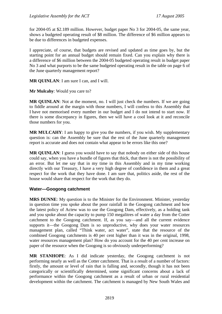<span id="page-34-0"></span>for 2004-05 at \$2.189 million. However, budget paper No 3 for 2004-05, the same year, shows a budgeted operating result of \$8 million. The difference of \$6 million appears to be due to differences in budgeted expenses.

I appreciate, of course, that budgets are revised and updated as time goes by, but the starting point for an annual budget should remain fixed. Can you explain why there is a difference of \$6 million between the 2004-05 budgeted operating result in budget paper No 3 and what purports to be the same budgeted operating result in the table on page 6 of the June quarterly management report?

**MR QUINLAN:** I am sure I can, and I will.

**Mr Mulcahy**: Would you care to?

**MR QUINLAN:** Not at the moment, no. I will just check the numbers. If we are going to fiddle around at the margin with those numbers, I will confess to this Assembly that I have not memorised every number in our budget and I do not intend to start now. If there is some discrepancy in figures, then we will have a cool look at it and reconcile those numbers for you.

**MR MULCAHY**: I am happy to give you the numbers, if you wish. My supplementary question is: can the Assembly be sure that the rest of the June quarterly management report is accurate and does not contain what appear to be errors like this one?

**MR QUINLAN:** I guess you would have to say that nobody on either side of this house could say, when you have a bundle of figures that thick, that there is not the possibility of an error. But let me say that in my time in this Assembly and in my time working directly with our Treasury, I have a very high degree of confidence in them and a great respect for the work that they have done. I am sure that, politics aside, the rest of the house would share that respect for the work that they do.

## **Water—Googong catchment**

**MRS DUNNE**: My question is to the Minister for the Environment. Minister, yesterday in question time you spoke about the poor rainfall in the Googong catchment and how the latest policy of Actew was to use the Googong Dam, effectively, as a holding tank and you spoke about the capacity to pump 150 megalitres of water a day from the Cotter catchment to the Googong catchment. If, as you say—and all the current evidence supports it—the Googong Dam is so unproductive, why does your water resources management plan, called "Think water, act water", state that the resource of the combined Googong catchments is 40 per cent higher than it was in the original, 1998, water resources management plan? How do you account for the 40 per cent increase on paper of the resource when the Googong is so obviously underperforming?

**MR STANHOPE**: As I did indicate yesterday, the Googong catchment is not performing nearly as well as the Cotter catchment. That is a result of a number of factors: firstly, the amount or level of rain that is falling and, secondly, though it has not been categorically or scientifically determined, some significant concerns about a lack of performance within the Googong catchment as a result of urban or rural residential development within the catchment. The catchment is managed by New South Wales and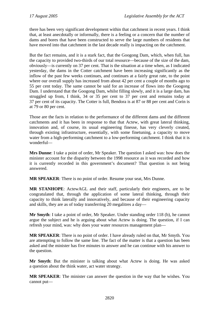there has been very significant development within that catchment in recent years. I think that, at least anecdotally or informally, there is a feeling or a concern that the number of dams and bores that have been constructed to serve the large numbers of residents that have moved into that catchment in the last decade really is impacting on the catchment.

But the fact remains, and it is a stark fact, that the Googong Dam, which, when full, has the capacity to provided two-thirds of our total resource—because of the size of the dam, obviously—is currently on 37 per cent. That is the situation at a time when, as I indicated yesterday, the dams in the Cotter catchment have been increasing significantly as the inflow of the past few weeks continues, and continues at a fairly great rate, to the point where our overall supply has increased from about 42 per cent a couple of months ago to 55 per cent today. The same cannot be said for an increase of flows into the Googong Dam. I understand that the Googong Dam, whilst filling slowly, and it is a large dam, has struggled up from, I think, 34 or 35 per cent to 37 per cent and remains today at 37 per cent of its capacity. The Cotter is full, Bendora is at 87 or 88 per cent and Corin is at 79 or 80 per cent.

Those are the facts in relation to the performance of the different dams and the different catchments and it has been in response to that that Actew, with great lateral thinking, innovation and, of course, its usual engineering finesse, has very cleverly created, through existing infrastructure, essentially, with some finetuning, a capacity to move water from a high-performing catchment to a low-performing catchment. I think that it is wonderful—

**Mrs Dunne**: I take a point of order, Mr Speaker. The question I asked was: how does the minister account for the disparity between the 1998 resource as it was recorded and how it is currently recorded in this government's document? That question is not being answered.

**MR SPEAKER**: There is no point of order. Resume your seat, Mrs Dunne.

**MR STANHOPE**: ActewAGL and their staff, particularly their engineers, are to be congratulated that, through the application of some lateral thinking, through their capacity to think laterally and innovatively, and because of their engineering capacity and skills, they are as of today transferring 20 megalitres a day—

**Mr Smyth**: I take a point of order, Mr Speaker. Under standing order 118 (b), he cannot argue the subject and he is arguing about what Actew is doing. The question, if I can refresh your mind, was: why does your water resources management plan—

**MR SPEAKER**: There is no point of order. I have already ruled on that, Mr Smyth. You are attempting to follow the same line. The fact of the matter is that a question has been asked and the minister has five minutes to answer and he can continue with his answer to the question.

**Mr Smyth**: But the minister is talking about what Actew is doing. He was asked a question about the think water, act water strategy.

**MR SPEAKER**: The minister can answer the question in the way that he wishes. You cannot put—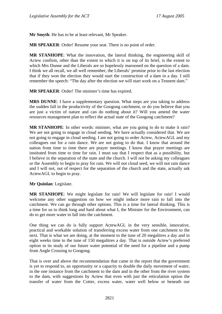**Mr Smyth**: He has to be at least relevant, Mr Speaker.

**MR SPEAKER**: Order! Resume your seat. There is no point of order.

**MR STANHOPE**: What the innovation, the lateral thinking, the engineering skill of Actew confirm, other than the extent to which it is on top of its brief, is the extent to which Mrs Dunne and the Liberals are so hopelessly marooned on the question of a dam. I think we all recall, we all well remember, the Liberals' promise prior to the last election that if they won the election they would start the construction of a dam in a day. I still remember the speech: "The day after the election we will start work on a Tennent dam."

**MR SPEAKER**: Order! The minister's time has expired.

**MRS DUNNE**: I have a supplementary question. What steps are you taking to address the sudden fall in the productivity of the Googong catchment, or do you believe that you are just a victim of nature and can do nothing about it? Will you amend the water resources management plan to reflect the actual state of the Googong catchment?

**MR STANHOPE**: In other words: minister, what are you going to do to make it rain? We are not going to engage in cloud seeding. We have actually considered that. We are not going to engage in cloud seeding. I am not going to order Actew, ActewAGL and my colleagues out for a rain dance. We are not going to do that. I know that around the nation from time to time there are prayer meetings. I know that prayer meetings are instituted from time to time for rain. I must say that I respect that as a possibility, but I believe in the separation of the state and the church. I will not be asking my colleagues or the Assembly to begin to pray for rain. We will not cloud seed, we will not rain dance and I will not, out of respect for the separation of the church and the state, actually ask ActewAGL to begin to pray.

**Mr Quinlan**: Legislate.

**MR STANHOPE**: We might legislate for rain! We will legislate for rain! I would welcome any other suggestion on how we might induce more rain to fall into the catchment. We can go through other options. This is a time for lateral thinking. This is a time for us to think long and hard about what I, the Minister for the Environment, can do to get more water to fall into the catchment.

One thing we can do is fully support ActewAGL in the very sensible, innovative, practical and workable solution of transferring excess water from one catchment to the next. That is what we are doing, at the moment to the tune of 20 megalitres a day and in eight weeks time to the tune of 150 megalitres a day. That is outside Actew's preferred option in its study of our future water potential of the need for a pipeline and a pump from Angle Crossing to Googong.

That is over and above the recommendation that came in the report that the government is yet to respond to, an opportunity or a capacity to double the daily movement of water, in the one instance from the catchment to the dam and in the other from the river system to the dam, with suggestions by Actew that even with just the reticulation option the transfer of water from the Cotter, excess water, water well below or beneath our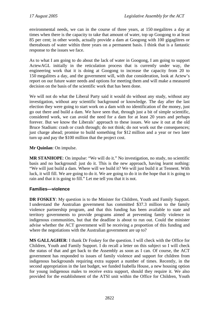environmental needs, we can in the course of three years, at 150 megalitres a day at times when there is the capacity to take that amount of water, top up Googong to at least 85 per cent; in other words, actually provide a dam at Googong with 100 gigaglitres or thereabouts of water within three years on a permanent basis. I think that is a fantastic response to the issues we face.

As to what I am going to do about the lack of water in Googong, I am going to support ActewAGL initially in the reticulation process that is currently under way, the engineering work that it is doing at Googong to increase the capacity from 20 to 150 megalitres a day, and the government will, with due consideration, look at Actew's report on our future water needs and options for meeting them and will make a measured decision on the basis of the scientific work that has been done.

We will not do what the Liberal Party said it would do without any study, without any investigation, without any scientific background or knowledge. The day after the last election they were going to start work on a dam with no identification of the money, just go out there and build a dam. We have seen that, through just a bit of simple scientific, considered work, we can avoid the need for a dam for at least 20 years and perhaps forever. But we know the Liberals' approach to these issues. We saw it out at the old Bruce Stadium: crash or crash through; do not think; do not work out the consequences; just charge ahead; promise to build something for \$12 million and a year or two later turn up and pay the \$100 million that the project cost.

## **Mr Quinlan**: On impulse.

**MR STANHOPE**: On impulse: "We will do it." No investigation, no study, no scientific basis and no background: just do it. This is the new approach, having learnt nothing: "We will just build a dam. Where will we build it? We will just build it at Tennent. With luck, it will fill. We are going to do it. We are going to do it in the hope that it is going to rain and that it is going to fill." Let me tell you that it is not.

## **Families—violence**

**DR FOSKEY**: My question is to the Minister for Children, Youth and Family Support. I understand the Australian government has committed \$37.3 million to the family violence partnership program, and that this funding has been available to state and territory governments to provide programs aimed at preventing family violence in indigenous communities, but that the deadline is about to run out. Could the minister advise whether the ACT government will be receiving a proportion of this funding and where the negotiations with the Australian government are up to?

**MS GALLAGHER**: I thank Dr Foskey for the question. I will check with the Office for Children, Youth and Family Support. I do recall a letter on this subject so I will check the status of that and get back to the Assembly as soon as I can. Of course, the ACT government has responded to issues of family violence and support for children from indigenous backgrounds requiring extra support a number of times. Recently, in the second appropriation in the last budget, we funded Isabella House, a new housing option for young indigenous males to receive extra support, should they require it. We also provided for the establishment of the ATSI unit within the Office for Children, Youth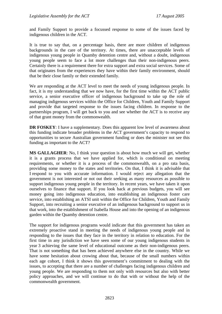and Family Support to provide a focussed response to some of the issues faced by indigenous children in the ACT.

It is true to say that, on a percentage basis, there are more children of indigenous backgrounds in the care of the territory. At times, there are unacceptable levels of indigenous young people in Quamby detention centre and, without a doubt, indigenous young people seem to face a lot more challenges than their non-indigenous peers. Certainly there is a requirement there for extra support and extra social services. Some of that originates from the experiences they have within their family environment, should that be their close family or their extended family.

We are responding at the ACT level to meet the needs of young indigenous people. In fact, it is my understanding that we now have, for the first time within the ACT public service, a senior executive officer of indigenous background to take up the role of managing indigenous services within the Office for Children, Youth and Family Support and provide that targeted response to the issues facing children. In response to the partnerships program, I will get back to you and see whether the ACT is to receive any of that grant money from the commonwealth.

**DR FOSKEY:** I have a supplementary. Does this apparent low level of awareness about this funding indicate broader problems in the ACT government's capacity to respond to opportunities to secure Australian government funding or does the minister not see this funding as important to the ACT?

**MS GALLAGHER**: No, I think your question is about how much we will get, whether it is a grants process that we have applied for, which is conditional on meeting requirements, or whether it is a process of the commonwealth, on a pro rata basis, providing some money to the states and territories. On that, I think it is advisable that I respond to you with accurate information. I would reject any allegation that the government is not interested or not out their seeking as many resources as possible to support indigenous young people in the territory. In recent years, we have taken it upon ourselves to finance that support. If you look back at previous budgets, you will see money going into indigenous education, into establishing an indigenous foster care service, into establishing an ATSI unit within the Office for Children, Youth and Family Support, into recruiting a senior executive of an indigenous background to support us in that work, into the establishment of Isabella House and into the opening of an indigenous garden within the Quamby detention centre.

The support for indigenous programs would indicate that this government has taken an extremely proactive stand in meeting the needs of indigenous young people and in responding to the issues that they face in the territory in relation to education. For the first time in any jurisdiction we have seen some of our young indigenous students in year 3 achieving the same level of educational outcome as their non-indigenous peers. That is not something that has been achieved anywhere else in the country. While we have some hesitation about crowing about that, because of the small numbers within each age cohort, I think it shows this government's commitment to dealing with the issues, to accepting that there are a number of challenges facing indigenous children and young people. We are responding to them not only with resources but also with better policy approaches, and we will continue to do that with or without the help of the commonwealth government.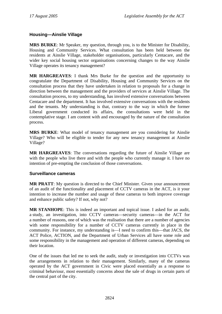## **Housing—Ainslie Village**

**MRS BURKE**: Mr Speaker, my question, through you, is to the Minister for Disability, Housing and Community Services. What consultation has been held between the residents at Ainslie Village, stakeholder organisations, particularly Centacare, and the wider key social housing sector organisations concerning changes to the way Ainslie Village operates its tenancy management?

**MR HARGREAVES**: I thank Mrs Burke for the question and the opportunity to congratulate the Department of Disability, Housing and Community Services on the consultation process that they have undertaken in relation to proposals for a change in direction between the management and the providers of services at Ainslie Village. The consultation process, to my understanding, has involved extensive conversations between Centacare and the department. It has involved extensive conversations with the residents and the tenants. My understanding is that, contrary to the way in which the former Liberal government conducted its affairs, the consultations were held in the contemplative stage. I am content with and encouraged by the nature of the consultation process.

**MRS BURKE**: What model of tenancy management are you considering for Ainslie Village? Who will be eligible to tender for any new tenancy management at Ainslie Village?

**MR HARGREAVES**: The conversations regarding the future of Ainslie Village are with the people who live there and with the people who currently manage it. I have no intention of pre-empting the conclusion of those conversations.

#### **Surveillance cameras**

**MR PRATT**: My question is directed to the Chief Minister. Given your announcement of an audit of the functionality and placement of CCTV cameras in the ACT, is it your intention to increase the number and usage of these cameras to both improve coverage and enhance public safety? If not, why not?

**MR STANHOPE**: This is indeed an important and topical issue. I asked for an audit, a study, an investigation, into CCTV cameras—security cameras—in the ACT for a number of reasons, one of which was the realisation that there are a number of agencies with some responsibility for a number of CCTV cameras currently in place in the community. For instance, my understanding is—I need to confirm this—that JACS, the ACT Police, ACTION, and the Department of Urban Services all have some role and some responsibility in the management and operation of different cameras, depending on their location.

One of the issues that led me to seek the audit, study or investigation into CCTVs was the arrangements in relation to their management. Similarly, many of the cameras operated by the ACT government in Civic were placed essentially as a response to criminal behaviour, most essentially concerns about the sale of drugs in certain parts of the central part of the city.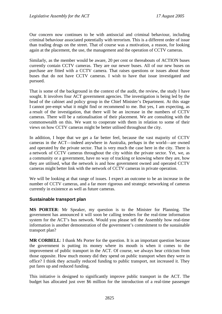Our concern now continues to be with antisocial and criminal behaviour, including criminal behaviour associated potentially with terrorism. This is a different order of issue than trading drugs on the street. That of course was a motivation, a reason, for looking again at the placement, the use, the management and the operation of CCTV cameras.

Similarly, as the member would be aware, 20 per cent or thereabouts of ACTION buses currently contain CCTV cameras. They are our newer buses. All of our new buses on purchase are fitted with a CCTV camera. That raises questions or issues about those buses that do not have CCTV cameras. I wish to have that issue investigated and pursued.

That is some of the background in the context of the audit, the review, the study I have sought. It involves four ACT government agencies. The investigation is being led by the head of the cabinet and policy group in the Chief Minister's Department. At this stage I cannot pre-empt what it might find or recommend to me. But yes, I am expecting, as a result of the investigation, that there will be an increase in the numbers of CCTV cameras. There will be a rationalisation of their placement. We are consulting with the commonwealth on this. We want to cooperate with them in relation to some of their views on how CCTV cameras might be better utilised throughout the city.

In addition, I hope that we get a far better feel, because the vast majority of CCTV cameras in the ACT—indeed anywhere in Australia, perhaps in the world—are owned and operated by the private sector. That is very much the case here in the city. There is a network of CCTV cameras throughout the city within the private sector. Yet, we, as a community or a government, have no way of tracking or knowing where they are, how they are utilised, what the network is and how government owned and operated CCTV cameras might better link with the network of CCTV cameras in private operation.

We will be looking at that range of issues. I expect an outcome to be an increase in the number of CCTV cameras, and a far more rigorous and strategic networking of cameras currently in existence as well as future cameras.

## **Sustainable transport plan**

**MS PORTER**: Mr Speaker, my question is to the Minister for Planning. The government has announced it will soon be calling tenders for the real-time information system for the ACT's bus network. Would you please tell the Assembly how real-time information is another demonstration of the government's commitment to the sustainable transport plan?

**MR CORBELL**: I thank Ms Porter for the question. It is an important question because the government is putting its money where its mouth is when it comes to the improvement of public transport in the ACT. Of course, we always hear criticism from those opposite. How much money did they spend on public transport when they were in office? I think they actually reduced funding to public transport, not increased it. They put fares up and reduced funding.

This initiative is designed to significantly improve public transport in the ACT. The budget has allocated just over \$6 million for the introduction of a real-time passenger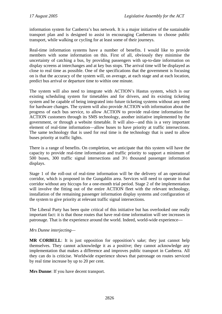information system for Canberra's bus network. It is a major initiative of the sustainable transport plan and is designed to assist in encouraging Canberrans to choose public transport, while walking or cycling for at least some of their journeys.

Real-time information systems have a number of benefits. I would like to provide members with some information on this. First of all, obviously they minimise the uncertainty of catching a bus, by providing passengers with up-to-date information on display screens at interchanges and at key bus stops. The arrival time will be displayed as close to real time as possible. One of the specifications that the government is focusing on is that the accuracy of the system will, on average, at each stage and at each location, predict bus arrival or departure time to within one minute.

The system will also need to integrate with ACTION's Hastus system, which is our existing scheduling system for timetables and for drivers, and its existing ticketing system and be capable of being integrated into future ticketing systems without any need for hardware changes. The system will also provide ACTION with information about the progress of each bus service, to allow ACTION to provide real-time information for ACTION customers through its SMS technology, another initiative implemented by the government, or through a website timetable. It will also—and this is a very important element of real-time information—allow buses to have priority at traffic intersections. The same technology that is used for real time is the technology that is used to allow buses priority at traffic lights.

There is a range of benefits. On completion, we anticipate that this system will have the capacity to provide real-time information and traffic priority to support a minimum of 500 buses, 300 traffic signal intersections and 3½ thousand passenger information displays.

Stage 1 of the roll-out of real-time information will be the delivery of an operational corridor, which is proposed in the Gungahlin area. Services will need to operate in that corridor without any hiccups for a one-month trial period. Stage 2 of the implementation will involve the fitting out of the entire ACTION fleet with the relevant technology, installation of the remaining passenger information display systems and configuration of the system to give priority at relevant traffic signal intersections.

The Liberal Party has been quite critical of this initiative but has overlooked one really important fact: it is that those routes that have real-time information will see increases in patronage. That is the experience around the world. Indeed, world-wide experience—

#### *Mrs Dunne interjecting—*

**MR CORBELL:** It is just opposition for opposition's sake; they just cannot help themselves. They cannot acknowledge it as a positive; they cannot acknowledge any implementation that makes a difference and improves public transport in Canberra. All they can do is criticise. Worldwide experience shows that patronage on routes serviced by real time increase by up to 20 per cent.

**Mrs Dunne**: If you have decent transport.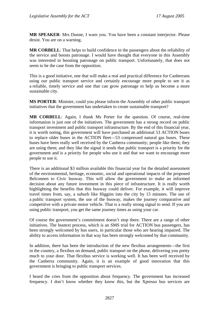**MR SPEAKER**: Mrs Dunne, I warn you. You have been a constant interjector. Please desist. You are on a warning.

**MR CORBELL**: That helps to build confidence in the passengers about the reliability of the service and boosts patronage. I would have thought that everyone in this Assembly was interested in boosting patronage on public transport. Unfortunately, that does not seem to be the case from the opposition.

This is a good initiative, one that will make a real and practical difference for Canberrans using our public transport service and certainly encourage more people to see it as a reliable, timely service and one that can grow patronage to help us become a more sustainable city.

**MS PORTER**: Minister, could you please inform the Assembly of other public transport initiatives that the government has undertaken to create sustainable transport?

**MR CORBELL**: Again, I thank Ms Porter for the question. Of course, real-time information is just one of the initiatives. The government has a strong record on public transport investment and public transport infrastructure. By the end of this financial year, it is worth noting, this government will have purchased an additional 53 ACTION buses to replace older buses in the ACTION fleet—53 compressed natural gas buses. These buses have been really well received by the Canberra community; people like them; they are using them; and they like the signal it sends that public transport is a priority for the government and is a priority for people who use it and that we want to encourage more people to use it.

There is an additional \$3 million available this financial year for the detailed assessment of the environmental, heritage, economic, social and operational impacts of the proposed Belconnen to Civic busway. This will allow the government to make an informed decision about any future investment in this piece of infrastructure. It is really worth highlighting the benefits that this busway could deliver. For example, it will improve travel times from, say, a suburb like Higgins into the city by 15 minutes. The use of a public transport system, the use of the busway, makes the journey comparative and competitive with a private motor vehicle. That is a really strong signal to send. If you are using public transport, you get the same journey times as using your car.

Of course the government's commitment doesn't stop there. There are a range of other initiatives. The bustext process, which is an SMS trial for ACTION bus passengers, has been strongly welcomed by bus users, in particular those who are hearing impaired. The ability to access information in that way has been strongly welcomed by that community.

In addition, there has been the introduction of the new flexibus arrangements—the first in the country, a flexibus on demand, public transport on the phone, delivering you pretty much to your door. That flexibus service is working well. It has been well received by the Canberra community. Again, it is an example of good innovation that this government is bringing to public transport services.

I heard the cries from the opposition about frequency. The government has increased frequency. I don't know whether they know this, but the Xpresso bus services are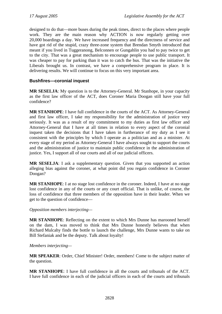designed to do that—more buses during the peak times, direct to the places where people work. They are the main reason why ACTION is now regularly getting over 20,000 boardings a day. We have increased frequency and the directness of service and have got rid of the stupid, crazy three-zone system that Brendan Smyth introduced that meant if you lived in Tuggeranong, Belconnen or Gungahlin you had to pay twice to get to the city. That was a great mechanism to encourage people to use public transport. It was cheaper to pay for parking than it was to catch the bus. That was the initiative the Liberals brought us. In contrast, we have a comprehensive program in place. It is delivering results. We will continue to focus on this very important area.

## **Bushfires—coronial inquest**

**MR SESELJA**: My question is to the Attorney-General. Mr Stanhope, in your capacity as the first law officer of the ACT, does Coroner Maria Doogan still have your full confidence?

**MR STANHOPE**: I have full confidence in the courts of the ACT. As Attorney-General and first law officer, I take my responsibility for the administration of justice very seriously. It was as a result of my commitment to my duties as first law officer and Attorney-General that I have at all times in relation to every aspect of the coronial inquest taken the decisions that I have taken in furtherance of my duty as I see it consistent with the principles by which I operate as a politician and as a minister. At every stage of my period as Attorney-General I have always sought to support the courts and the administration of justice to maintain public confidence in the administration of justice. Yes, I support all of our courts and all of our judicial officers.

**MR SESELJA**: I ask a supplementary question. Given that you supported an action alleging bias against the coroner, at what point did you regain confidence in Coroner Doogan?

**MR STANHOPE**: I at no stage lost confidence in the coroner. Indeed, I have at no stage lost confidence in any of the courts or any court official. That is unlike, of course, the loss of confidence that three members of the opposition have in their leader. When we get to the question of confidence—

#### *Opposition members interjecting—*

**MR STANHOPE**: Reflecting on the extent to which Mrs Dunne has marooned herself on the dam, I was moved to think that Mrs Dunne honestly believes that when Richard Mulcahy finds the bottle to launch the challenge, Mrs Dunne wants to take on Bill Stefaniak and be the deputy. Talk about loyalty!

#### *Members interjecting—*

**MR SPEAKER**: Order, Chief Minister! Order, members! Come to the subject matter of the question.

**MR STANHOPE**: I have full confidence in all the courts and tribunals of the ACT. I have full confidence in each of the judicial officers in each of the courts and tribunals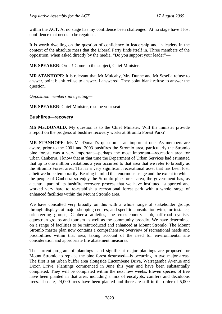within the ACT. At no stage has my confidence been challenged. At no stage have I lost confidence that needs to be regained.

It is worth dwelling on the question of confidence in leadership and in leaders in the context of the absolute mess that the Liberal Party finds itself in. Three members of the opposition, when asked directly by the media, "Do you support your leader"—

**MR SPEAKER**: Order! Come to the subject, Chief Minister.

**MR STANHOPE**: It is relevant that Mr Mulcahy, Mrs Dunne and Mr Seselja refuse to answer, point blank refuse to answer. I answered. They point blank refuse to answer the question.

*Opposition members interjecting—* 

**MR SPEAKER**: Chief Minister, resume your seat!

#### **Bushfires—recovery**

**MS MacDONALD**: My question is to the Chief Minister. Will the minister provide a report on the progress of bushfire recovery works at Stromlo Forest Park?

**MR STANHOPE**: Ms MacDonald's question is an important one. As members are aware, prior to the 2001 and 2003 bushfires the Stromlo area, particularly the Stromlo pine forest, was a very important—perhaps the most important—recreation area for urban Canberra. I know that at that time the Department of Urban Services had estimated that up to one million visitations a year occurred to that area that we refer to broadly as the Stromlo Forest area. That is a very significant recreational asset that has been lost, albeit we hope temporarily. Bearing in mind that enormous usage and the extent to which the people of Canberra so enjoy the Stromlo pine forest area, the government has, as a central part of its bushfire recovery process that we have instituted, supported and worked very hard to re-establish a recreational forest park with a whole range of enhanced facilities within the Mount Stromlo area.

We have consulted very broadly on this with a whole range of stakeholder groups through displays at major shopping centres, and specific consultation with, for instance, orienteering groups, Canberra athletics, the cross-country club, off-road cyclists, equestrian groups and tourism as well as the community broadly. We have determined on a range of facilities to be reintroduced and enhanced at Mount Stromlo. The Mount Stromlo master plan now contains a comprehensive overview of recreational needs and possibilities within that area, taking account of the need for environmental site consideration and appropriate fire abatement measures.

The current program of plantings—and significant major plantings are proposed for Mount Stromlo to replace the pine forest destroyed—is occurring in two major areas. The first is an urban buffer area alongside Eucumbene Drive, Warragamba Avenue and Dixon Drive. Plantings commenced in June this year and have been substantially completed. They will be completed within the next few weeks. Eleven species of tree have been planted in that area, including a mix of eucalypts, conifers and deciduous trees. To date, 24,000 trees have been planted and there are still in the order of 5,000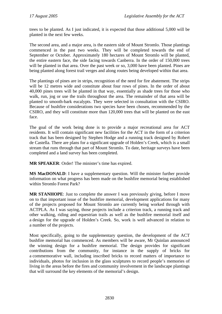trees to be planted. As I just indicated, it is expected that those additional 5,000 will be planted in the next few weeks.

The second area, and a major area, is the eastern side of Mount Stromlo. Those plantings commenced in the past two weeks. They will be completed towards the end of September or October. Approximately 180 hectares of Mount Stromlo will be planted, the entire eastern face, the side facing towards Canberra. In the order of 150,000 trees will be planted in that area. Over the past week or so, 3,000 have been planted. Pines are being planted along forest trail verges and along routes being developed within that area.

The plantings of pines are in strips, recognition of the need for fire abatement. The strips will be 12 metres wide and constitute about four rows of pines. In the order of about 40,000 pines trees will be planted in that way, essentially as shade trees for those who walk, run, jog or use the trails throughout the area. The remainder of that area will be planted to smooth-bark eucalypts. They were selected in consultation with the CSIRO. Because of bushfire considerations two species have been chosen, recommended by the CSIRO, and they will constitute more than 120,000 trees that will be planted on the east face.

The goal of the work being done is to provide a major recreational area for ACT residents. It will contain significant new facilities for the ACT in the form of a criterion track that has been designed by Stephen Hodge and a running track designed by Robert de Castella. There are plans for a significant upgrade of Holden's Creek, which is a small stream that runs through that part of Mount Stromlo. To date, heritage surveys have been completed and a land survey has been completed.

**MR SPEAKER:** Order! The minister's time has expired.

**MS MacDONALD**: I have a supplementary question. Will the minister further provide information on what progress has been made on the bushfire memorial being established within Stromlo Forest Park?

**MR STANHOPE**: Just to complete the answer I was previously giving, before I move on to that important issue of the bushfire memorial, development applications for many of the projects proposed for Mount Stromlo are currently being worked through with ACTPLA. As I was saying, those projects include a criterion track, a running track and other walking, riding and equestrian trails as well as the bushfire memorial itself and a design for the upgrade of Holden's Creek. So, work is well advanced in relation to a number of the projects.

Most specifically, going to the supplementary question, the development of the ACT bushfire memorial has commenced. As members will be aware, Mr Quinlan announced the winning design for a bushfire memorial. The design provides for significant contributions from the community, for instance in the supply of bricks for a commemorative wall, including inscribed bricks to record matters of importance to individuals, photos for inclusion in the glass sculptures to record people's memories of living in the areas before the fires and community involvement in the landscape plantings that will surround the key elements of the memorial's design.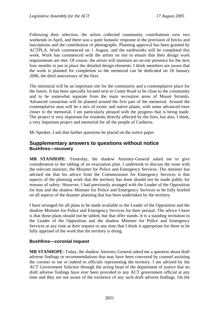Following their selection, the artists collected community contributions over two weekends in April, and there was a quite fantastic response in the provision of bricks and inscriptions and the contribution of photographs. Planning approval has been granted by ACTPLA. Work commenced on 1 August, and the earthworks will be completed this week. Work has commenced with the artists on site to ensure that their design work requirements are met. Of course, the artists will maintain an on-site presence for the next four months to put in place the detailed design elements. I think members are aware that the work is planned for completion so the memorial can be dedicated on 18 January 2006, the third anniversary of the fires.

The memorial will be an important site for the community and a contemplative place for the future. It has been specially located next to Cotter Road to be close to the community and to be somewhat separate from the main recreation areas of Mount Stromlo. Advanced casuarinas will be planted around the first part of the memorial. Around the contemplative area will be a mix of exotic and native plants, with some advanced trees closer to the memorial. I am particularly pleased with the progress that is being made. The project is very important for residents directly affected by the fires, but also, I think, a very important project and memorial for all the people of Canberra.

Mr Speaker, I ask that further questions be placed on the notice paper.

## **Supplementary answers to questions without notice Bushfires—recovery**

**MR STANHOPE**: Yesterday, the shadow Attorney-General asked me to give consideration to the tabling of an evacuation plan. I undertook to discuss the issue with the relevant minister, the Minister for Police and Emergency Services. The minister has advised me that his advice from the Commissioner for Emergency Services is that aspects of the planning work that the territory has done should not be made public for reasons of safety. However, I had previously arranged with the Leader of the Opposition for him and the shadow Minister for Police and Emergency Services to be fully briefed on all aspects of the disaster planning that has been undertaken by the territory.

I have arranged for all plans to be made available to the Leader of the Opposition and the shadow Minister for Police and Emergency Services for their perusal. The advice I have is that those plans should not be tabled, but that offer stands. It is a standing invitation to the Leader of the Opposition and the shadow Minister for Police and Emergency Services at any time at their request or any time that I think it appropriate for them to be fully apprised of the work that the territory is doing.

## **Bushfires—coronial inquest**

**MR STANHOPE**: Today, the shadow Attorney-General asked me a question about draft adverse findings or recommendations that may have been conveyed by counsel assisting the coroner to me or indeed to officials representing the territory. I am advised by the ACT Government Solicitor through the acting head of the department of justice that no draft adverse findings have ever been provided to any ACT government official at any time and they are not aware of the existence of any such draft adverse findings. On the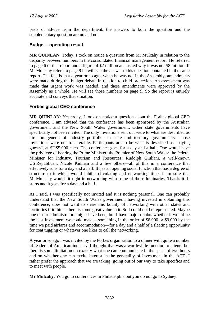basis of advice from the department, the answers to both the question and the supplementary question are no and no.

#### **Budget—operating result**

**MR QUINLAN**: Today, I took on notice a question from Mr Mulcahy in relation to the disparity between numbers in the consolidated financial management report. He referred to page 6 of that report and a figure of \$2 million and asked why it was not \$8 million. If Mr Mulcahy refers to page 9 he will see the answer to his question contained in the same report. The fact is that a year or so ago, when he was not in the Assembly, amendments were made during the budget debate in relation to child protection. An assessment was made that urgent work was needed, and these amendments were approved by the Assembly as a whole. He will see those numbers on page 9. So the report is entirely accurate and conveys that situation.

## **Forbes global CEO conference**

**MR QUINLAN**: Yesterday, I took on notice a question about the Forbes global CEO conference. I am advised that the conference has been sponsored by the Australian government and the New South Wales government. Other state governments have specifically not been invited. The only invitations sent out were to what are described as directors-general of industry portfolios in state and territory governments. Those invitations were not transferable. Participants are to be what is described as "paying guests", at \$US5,000 each. The conference goes for a day and a half. One would have the privilege of hearing the Prime Minister; the Premier of New South Wales; the federal Minister for Industry, Tourism and Resources; Rudolph Giuliani, a well-known US Republican; Nicole Kidman and a few others—all of this in a conference that effectively runs for a day and a half. It has an opening social function that has a degree of structure to it which would inhibit circulating and networking time. I am sure that Mr Mulcahy would fit right in networking with some of those luminaries. That is it. It starts and it goes for a day and a half.

As I said, I was specifically not invited and it is nothing personal. One can probably understand that the New South Wales government, having invested in obtaining this conference, does not want to share this bounty of networking with other states and territories if it thinks there is some great value in it. So I could not be represented. Maybe one of our administrators might have been, but I have major doubts whether it would be the best investment we could make—something in the order of \$8,000 or \$9,000 by the time we paid airfares and accommodation—for a day and a half of a fleeting opportunity for coat tugging or whatever one likes to call the networking.

A year or so ago I was invited by the Forbes organisation to a dinner with quite a number of leaders of American industry. I thought that was a worthwhile function to attend, but there is some limitation on exactly what one can communicate in the space of two hours and on whether one can excite interest in the generality of investment in the ACT. I rather prefer the approach that we are taking: going out of our way to take specifics and to meet with people.

**Mr Mulcahy**: You go to conferences in Philadelphia but you do not go to Sydney.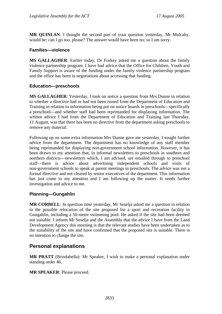**MR QUINLAN**: I thought the second part of your question yesterday, Mr Mulcahy, would be: can I go too, please? The answer would have been no; so I am sorry.

#### **Families—violence**

**MS GALLAGHER**: Earlier today, Dr Foskey asked me a question about the family violence partnership program. I have had advice that the Office for Children, Youth and Family Support is aware of the funding under the family violence partnership program and the office has been in negotiations about accessing that funding.

#### **Education—preschools**

**MS GALLAGHER**: Yesterday, I took on notice a question from Mrs Dunne in relation to whether a directive had or had not been issued from the Department of Education and Training in relation to information being put on notice boards in preschools—specifically a preschool—and whether staff had been reprimanded for displaying information. The written advice I had from the Department of Education and Training last Thursday, 11 August, was that there has been no directive from the department asking preschools to remove any material.

Following up on some extra information Mrs Dunne gave me yesterday, I sought further advice from the department. The department has no knowledge of any staff member being reprimanded for displaying non-government school information. However, it has been drawn to my attention that, in informal newsletters to preschools in southern and northern districts—newsletters which, I am advised, are emailed through to preschool staff—there is advice about advertising independent schools and visits non-government schools to speak at parent meetings in preschools. The advice was not a formal directive and not cleared by senior executives of the department. This information has just come to my attention and I am following up the matter. It needs further investigation and advice to me.

## **Planning—Gungahlin**

**MR CORBELL**: In question time yesterday, Mr Seselja asked me a question in relation to the possible relocation of the site proposed for a sport and recreation facility in Gungahlin, including a 50-metre swimming pool. He asked if the site had been deemed not suitable. I inform Mr Seselja and the Assembly that the advice I have from the Land Development Agency this morning is that the relevant studies have been undertaken as to the suitability of the site and have confirmed that the proposed site is suitable. There is no intention to change the site.

# **Personal explanations**

**MR PRATT** (Brindabella): Mr Speaker, I wish to make a personal explanation under standing order 46.

**MR SPEAKER**: Please proceed.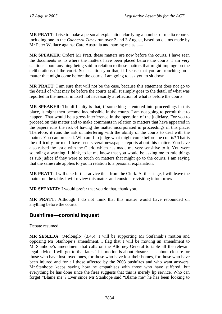**MR PRATT**: I rise to make a personal explanation clarifying a number of media reports, including one in the *Canberra Times* run over 2 and 3 August, based on claims made by Mr Peter Wallace against Care Australia and naming me as a—

**MR SPEAKER**: Order! Mr Pratt, these matters are now before the courts. I have seen the documents as to where the matters have been placed before the courts. I am very cautious about anything being said in relation to these matters that might impinge on the deliberations of the court. So I caution you that, if I sense that you are touching on a matter that might come before the courts, I am going to ask you to sit down.

**MR PRATT:** I am sure that will not be the case, because this statement does not go to the detail of what may be before the courts at all. It simply goes to the detail of what was reported in the media, in itself not necessarily a reflection of what is before the courts.

**MR SPEAKER**: The difficulty is that, if something is entered into proceedings in this place, it might then become inadmissible in the courts. I am not going to permit that to happen. That would be a gross interference in the operation of the judiciary. For you to proceed on this matter and to make comments in relation to matters that have appeared in the papers runs the risk of having the matter incorporated in proceedings in this place. Therefore, it runs the risk of interfering with the ability of the courts to deal with the matter. You can proceed. Who am I to judge what might come before the courts? That is the difficulty for me. I have seen several newspaper reports about this matter. You have also raised the issue with the Clerk, which has made me very sensitive to it. You were sounding a warning, I think, to let me know that you would be asking me to rule things as sub judice if they were to touch on matters that might go to the courts. I am saying that the same rule applies to you in relation to a personal explanation.

**MR PRATT**: I will take further advice then from the Clerk. At this stage, I will leave the matter on the table. I will review this matter and consider revisiting it tomorrow.

**MR SPEAKER**: I would prefer that you do that, thank you.

**MR PRATT:** Although I do not think that this matter would have rebounded on anything before the courts.

# **Bushfires—coronial inquest**

Debate resumed.

**MR SESELJA**: (Molonglo) (3.45): I will be supporting Mr Stefaniak's motion and opposing Mr Stanhope's amendment. I flag that I will be moving an amendment to Mr Stanhope's amendment that calls on the Attorney-General to table all the relevant legal advice. I will get to that later. This motion is about closure. It is about closure for those who have lost loved ones, for those who have lost their homes, for those who have been injured and for all those affected by the 2003 bushfires and who want answers. Mr Stanhope keeps saying how he empathises with those who have suffered, but everything he has done since the fires suggests that this is merely lip service. Who can forget "Blame me"? Ever since Mr Stanhope said "Blame me" he has been looking to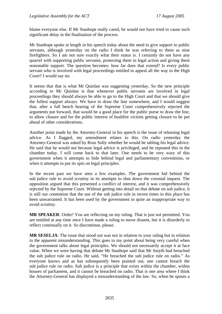blame everyone else. If Mr Stanhope really cared, he would not have tried to cause such significant delay in the finalisation of the process.

Mr Stanhope spoke at length in his speech today about the need to give support to public servants, although yesterday on the radio I think he was referring to them as nine firefighters. So I am not sure exactly what their status is. I certainly do not have any quarrel with supporting public servants, protecting them in legal action and giving them reasonable support. The question becomes: how far does that extend? Is every public servant who is involved with legal proceedings entitled to appeal all the way to the High Court? I would say no.

It seems that that is what Mr Quinlan was suggesting yesterday. So the new principle according to Mr Quinlan is that whenever public servants are involved in legal proceedings they should always be able to go to the High Court and that we should give the fullest support always. We have to draw the line somewhere, and I would suggest that, after a full bench hearing of the Supreme Court comprehensively rejected the arguments put forward, that would be a good place for the public purse to draw the line, to allow closure and for the public interest of bushfire victims getting closure to be put ahead of other considerations.

Another point made by the Attorney-General in his speech is the issue of releasing legal advice. As I flagged, my amendment relates to this. On radio yesterday the Attorney-General was asked by Ross Solly whether he would be tabling his legal advice. He said that he would not because legal advice is privileged, and he repeated this in the chamber today. I will come back to that later. One needs to be very wary of this government when it attempts to hide behind legal and parliamentary conventions, or when it attempts to put its spin on legal principles.

In the recent past we have seen a few examples. The government hid behind the sub judice rule to avoid scrutiny in its attempts to shut down the coronial inquest. The opposition argued that this presented a conflict of interest, and it was comprehensively rejected by the Supreme Court. Without getting into detail on that debate on sub judice, it is still our contention that the use of the sub judice rule in recent times in this place has been unwarranted. It has been used by the government in quite an inappropriate way to avoid scrutiny.

**MR SPEAKER**: Order! You are reflecting on my ruling. That is just not permitted. You are entitled at any time once I have made a ruling to move dissent, but it is disorderly to reflect continually on it. So discontinue, please.

**MR SESELJA**: The issue that stood out was not in relation to your ruling but in relation to the apparent misunderstanding. This goes to my point about being very careful when the government talks about legal principles. We should not necessarily accept it at face value. When we were having that debate Mr Stanhope said that Mr Smyth had breached the sub judice rule on radio. He said, "He breached the sub judice rule on radio." As everyone knows and as has subsequently been pointed out, one cannot breach the sub judice rule on radio. Sub judice is a principle that exists within the chamber, within houses of parliament, and it cannot be breached on radio. That is one area where I think the Attorney-General has displayed a misunderstanding of the law. So, when he spouts a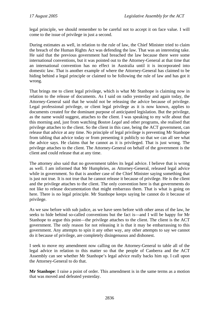legal principle, we should remember to be careful not to accept it on face value. I will come to the issue of privilege in just a second.

During estimates as well, in relation to the rule of law, the Chief Minister tried to claim the breach of the Human Rights Act was defending the law. That was an interesting take. He said that the previous government had breached the law because there were some international conventions, but it was pointed out to the Attorney-General at that time that an international convention has no effect in Australia until it is incorporated into domestic law. That is another example of where the Attorney-General has claimed to be hiding behind a legal principle or claimed to be following the rule of law and has got it wrong.

That brings me to client legal privilege, which is what Mr Stanhope is claiming now in relation to the release of documents. As I said on radio yesterday and again today, the Attorney-General said that he would not be releasing the advice because of privilege. Legal professional privilege, or client legal privilege as it is now known, applies to documents created for the dominant purpose of anticipated legislation. But the privilege, as the name would suggest, attaches to the client. I was speaking to my wife about that this morning and, just from watching *Boston Legal* and other programs, she realised that privilege attaches to the client. So the client in this case, being the ACT government, can release that advice at any time. No principle of legal privilege is preventing Mr Stanhope from tabling that advice today or from presenting it publicly so that we can all see what the advice says. He claims that he cannot as it is privileged. That is just wrong. The privilege attaches to the client. The Attorney-General on behalf of the government is the client and could release that at any time.

The attorney also said that no government tables its legal advice. I believe that is wrong as well. I am informed that Mr Humphries, as Attorney-General, released legal advice while in government. So that is another case of the Chief Minister saying something that is just not true. It is not true that he cannot release it because of privilege. He is the client and the privilege attaches to the client. The only convention here is that governments do not like to release documentation that might embarrass them. That is what is going on here. There is no legal principle. Mr Stanhope keeps saying he cannot do it because of privilege.

As we saw before with sub judice, as we have seen before with other areas of the law, he seeks to hide behind so-called conventions but the fact is—and I will be happy for Mr Stanhope to argue this point—the privilege attaches to the client. The client is the ACT government. The only reason for not releasing it is that it may be embarrassing to this government. Any attempts to spin it any other way, any other attempts to say we cannot do it because of privilege, are completely disingenuous and dishonest.

I seek to move my amendment now calling on the Attorney-General to table all of the legal advice in relation to this matter so that the people of Canberra and the ACT Assembly can see whether Mr Stanhope's legal advice really backs him up. I call upon the Attorney-General to do that.

**Mr Stanhope**: I raise a point of order. This amendment is in the same terms as a motion that was moved and defeated yesterday.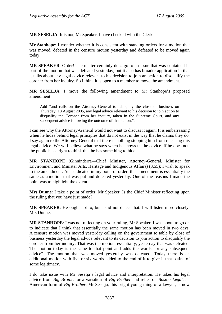**MR SESELJA**: It is not, Mr Speaker. I have checked with the Clerk.

**Mr Stanhope**: I wonder whether it is consistent with standing orders for a motion that was moved, debated in the censure motion yesterday and defeated to be moved again today.

**MR SPEAKER**: Order! The matter certainly does go to an issue that was contained in part of the motion that was defeated yesterday, but it also has broader application in that it talks about any legal advice relevant to his decision to join an action to disqualify the coroner from her inquiry. So I think it is open to a member to move the amendment.

**MR SESELJA**: I move the following amendment to Mr Stanhope's proposed amendment:

Add "and calls on the Attorney-General to table, by the close of business on Thursday, 18 August 2005, any legal advice relevant to his decision to join action to disqualify the Coroner from her inquiry, taken in the Supreme Court, and any subsequent advice following the outcome of that action.".

I can see why the Attorney-General would not want to discuss it again. It is embarrassing when he hides behind legal principles that do not exist in the way that he claims they do. I say again to the Attorney-General that there is nothing stopping him from releasing this legal advice. We will believe what he says when he shows us the advice. If he does not, the public has a right to think that he has something to hide.

**MR STANHOPE** (Ginninderra—Chief Minister, Attorney-General, Minister for Environment and Minister Arts, Heritage and Indigenous Affairs) (3.55): I wish to speak to the amendment. As I indicated in my point of order, this amendment is essentially the same as a motion that was put and defeated yesterday. One of the reasons I made the point was to highlight the extent—

**Mrs Dunne**: I take a point of order, Mr Speaker. Is the Chief Minister reflecting upon the ruling that you have just made?

**MR SPEAKER**: He ought not to, but I did not detect that. I will listen more closely, Mrs Dunne.

**MR STANHOPE**: I was not reflecting on your ruling, Mr Speaker. I was about to go on to indicate that I think that essentially the same motion has been moved in two days. A censure motion was moved yesterday calling on the government to table by close of business yesterday the legal advice relevant to its decision to join action to disqualify the coroner from her inquiry. That was the motion, essentially, yesterday that was defeated. The motion today is the same to that point and adds the words "or any subsequent advice". The motion that was moved yesterday was defeated. Today there is an additional motion with five or six words added to the end of it to give it that patina of some legitimacy.

I do take issue with Mr Seselja's legal advice and interpretation. He takes his legal advice from *Big Brother* or a variation of *Big Brother* and relies on *Boston Legal*, an American form of *Big Brother*. Mr Seselja, this bright young thing of a lawyer, is now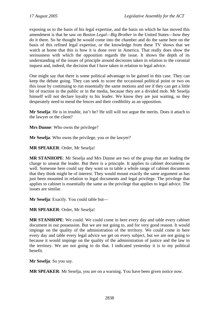exposing us to the basis of his legal expertise, and the basis on which he has moved this amendment is that he saw on *Boston Legal—Big Brother* in the United States—how they do it there. So he thought he would come into the chamber and do the same here on the basis of this refined legal expertise, or the knowledge from these TV shows that we watch at home that this is how it is done over in America. That really does show the seriousness with which the opposition regards the issue. It shows the depth of its understanding of the issues of principle around decisions taken in relation to the coronial inquest and, indeed, the decision that I have taken in relation to legal advice.

One might say that there is some political advantage to be gained in this case. They can keep the debate going. They can seek to score the occasional political point or two on this issue by continuing to run essentially the same motions and see if they can get a little bit of traction in the public or in the media, because they are a divided mob. Mr Seselja himself will not declare loyalty to his leader. We know they are just waiting, so they desperately need to mend the fences and their credibility as an opposition.

**Mr Seselja**: He is in trouble, isn't he? He still will not argue the merits. Does it attach to the lawyer or the client?

**Mrs Dunne**: Who owns the privilege?

**Mr Seselja**: Who owns the privilege, you or the lawyer?

**MR SPEAKER**: Order, Mr Seselja!

**MR STANHOPE**: Mr Seselja and Mrs Dunne are two of the group that are leading the charge to unseat the leader. But there is a principle. It applies to cabinet documents as well. Someone here could say they want us to table a whole range of cabinet documents that they think might be of interest. They would mount exactly the same argument as has just been mounted in relation to legal documents and legal privilege. The privilege that applies to cabinet is essentially the same as the privilege that applies to legal advice. The issues are similar.

**Mr Seselja**: Exactly. You could table but—

**MR SPEAKER**: Order, Mr Seselja!

**MR STANHOPE**: We could. We could come in here every day and table every cabinet document in our possession. But we are not going to, and for very good reason. It would impinge on the quality of the administration of the territory. We could come in here every day and table every legal advice we get on every subject, but we are not going to because it would impinge on the quality of the administration of justice and the law in the territory. We are not going to do that. I indicated yesterday it is to my political benefit.

**Mr Seselja**: So you say.

**MR SPEAKER**: Mr Seselja, you are on a warning. You have been given notice now.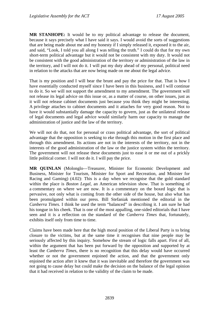**MR STANHOPE:** It would be to my political advantage to release the document, because it says precisely what I have said it says. I would avoid the sorts of suggestions that are being made about me and my honesty if I simply released it, exposed it to the air, and said, "Look, I told you all along I was telling the truth." I could do that for my own short-term political advantage but it would not be consistent with my duty. It would not be consistent with the good administration of the territory or administration of the law in the territory, and I will not do it. I will put my duty ahead of my personal, political need in relation to the attacks that are now being made on me about the legal advice.

That is my position and I will bear the brunt and pay the price for that. That is how I have essentially conducted myself since I have been in this business, and I will continue to do it. So we will not support the amendment to my amendment. The government will not release its legal advice on this issue or, as a matter of course, on other issues, just as it will not release cabinet documents just because you think they might be interesting. A privilege attaches to cabinet documents and it attaches for very good reason. Not to have it would substantially damage the capacity to govern, just as the unilateral release of legal documents and legal advice would similarly harm our capacity to manage the administration of justice and the law of the territory.

We will not do that, not for personal or crass political advantage, the sort of political advantage that the opposition is seeking to eke through this motion in the first place and through this amendment. Its actions are not in the interests of the territory, not in the interests of the good administration of the law or the justice system within the territory. The government will not release these documents just to ease it or me out of a prickly little political corner. I will not do it. I will pay the price.

**MR QUINLAN** (Molonglo—Treasurer, Minister for Economic Development and Business, Minister for Tourism, Minister for Sport and Recreation, and Minister for Racing and Gaming) (4.02): This is a day when we recognise that the gold standard within the place is *Boston Legal*, an American television show. That is something of a commentary on where we are now. It is a commentary on the boxed logic that is pervasive, not only what is coming from the other side of the house, but also what has been promulgated within our press. Bill Stefaniak mentioned the editorial in the *Canberra Times.* I think he used the term "balanced" in describing it. I am sure he had his tongue in his cheek. That is one of the most appalling, one-sided editorials that I have seen and it is a reflection on the standard of the *Canberra Times* that, fortunately, exhibits itself only from time to time.

Claims have been made here that the high moral position of the Liberal Party is to bring closure to the victims, but at the same time it recognises that nine people may be seriously affected by this inquiry. Somehow the stream of logic falls apart. First of all, within the argument that has been put forward by the opposition and supported by at least the *Canberra Times*, there is no recognition that this delay would have occurred whether or not the government enjoined the action, and that the government only enjoined the action after it knew that it was inevitable and therefore the government was not going to cause delay but could make the decision on the balance of the legal opinion that it had received in relation to the validity of the claim to be made.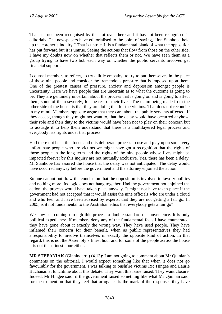That has not been recognised by that lot over there and it has not been recognised in editorials. The newspapers have editorialised to the point of saying, "Jon Stanhope held up the coroner's inquiry." That is untrue. It is a fundamental plank of what the opposition has put forward but it is untrue. Seeing the actions that flow from those on the other side, I have my doubts now on whether that reflects them or not. We have seen them as a group trying to have two bob each way on whether the public servants involved get financial support.

I counsel members to reflect, to try a little empathy, to try to put themselves in the place of those nine people and consider the tremendous pressure that is imposed upon them. One of the greatest causes of pressure, anxiety and depression amongst people is uncertainty. Here we have people that are uncertain as to what the outcome is going to be. They are genuinely uncertain about the process that is going on and is going to affect them, some of them severely, for the rest of their lives. The claim being made from the other side of the house is that they are doing this for the victims. That does not reconcile in my mind. Members opposite argue that they care about the public servants affected. If they accept, though they might not want to, that the delay would have occurred anyhow, their role and their duty to the victims would have been not to play on their concern but to assuage it to help them understand that there is a multilayered legal process and everybody has rights under that process.

Had there not been this focus and this deliberate process to use and play upon some very unfortunate people who are victims we might have got a recognition that the rights of those people in the long term and the rights of the nine people whose lives might be impacted forever by this inquiry are not mutually exclusive. Yes, there has been a delay. Mr Stanhope has assured the house that the delay was not anticipated. The delay would have occurred anyway before the government and the attorney enjoined the action.

So one cannot but draw the conclusion that the opposition is involved in tawdry politics and nothing more. Its logic does not hang together. Had the government not enjoined the action, the process would have taken place anyway. It might not have taken place if the government had not accepted that it would assist the nine officials who are under a cloud and who feel, and have been advised by experts, that they are not getting a fair go. In 2005, is it not fundamental to the Australian ethos that everybody gets a fair go?

We now see coming through this process a double standard of convenience. It is only political expediency. If members deny any of the fundamental facts I have enumerated, they have gone about it exactly the wrong way. They have used people. They have inflamed their concern for their benefit, when as public representatives they had a responsibility to involve themselves in exactly the opposite kind of action. In that regard, this is not the Assembly's finest hour and for some of the people across the house it is not their finest hour either.

**MR STEFANIAK** (Ginninderra) (4.13): I am not going to comment about Mr Quinlan's comments on the editorial. I would expect something like that when it does not go favourably for the government. I was talking to bushfire victims Ric Hingee and Laurie Buchanan at lunchtime about this debate. They want this issue raised. They want closure. Indeed, Mr Hingee said, if the government raised something like what Mr Quinlan said, for me to mention that they feel that arrogance is the mark of the responses they have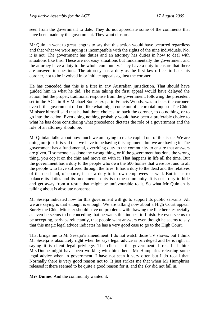seen from the government to date. They do not appreciate some of the comments that have been made by the government. They want closure.

Mr Quinlan went to great lengths to say that this action would have occurred regardless and that what we were saying is incompatible with the rights of the nine individuals. No, it is not. The government has duties and an attorney has duties in how to deal with situations like this. These are not easy situations but fundamentally the government and the attorney have a duty to the whole community. They have a duty to ensure that there are answers to questions. The attorney has a duty as the first law officer to back his coroner, not to be involved in or initiate appeals against the coroner.

He has conceded that this is a first in any Australian jurisdiction. That should have guided him in what he did. The nine taking the first appeal would have delayed the action, but the proper, traditional response from the government, following the precedent set in the ACT in R v Michael Somes ex parte Francis Woods, was to back the coroner, even if the government did not like what might come out of a coronial inquest. The Chief Minister himself said that he had three choices: to back the coroner, to do nothing, or to go into the action. Even doing nothing probably would have been a preferable choice to what he has done considering what precedence dictates the role of a government and the role of an attorney should be.

Mr Quinlan talks about how much we are trying to make capital out of this issue. We are doing our job. It is sad that we have to be having this argument, but we are having it. The government has a fundamental, overriding duty to the community to ensure that answers are given. If someone has done the wrong thing, or if the government has done the wrong thing, you cop it on the chin and move on with it. That happens in life all the time. But the government has a duty to the people who own the 500 homes that were lost and to all the people who have suffered through the fires. It has a duty to the dead and the relatives of the dead and, of course, it has a duty to its own employees as well. But it has to balance its duties and its fundamental duty is to the community. It is not to try to hide and get away from a result that might be unfavourable to it. So what Mr Quinlan is talking about is absolute nonsense.

Mr Seselja indicated how far this government will go to support its public servants. All we are saying is that enough is enough. We are talking now about a High Court appeal. Surely the Chief Minister should have no problems with drawing the line here, especially as even he seems to be conceding that he wants this inquest to finish. He even seems to be accepting, perhaps reluctantly, that people want answers even though he seems to say that this magic legal advice indicates he has a very good case to go to the High Court.

That brings me to Mr Seselja's amendment. I do not watch those TV shows, but I think Mr Seselja is absolutely right when he says legal advice is privileged and he is right in saying it is client legal privilege. The client is the government. I recall—I think Mrs Dunne might have been working with him then—Mr Humphries releasing some legal advice when in government. I have not seen it very often but I do recall that. Normally there is very good reason not to. It just strikes me that when Mr Humphries released it there seemed to be quite a good reason for it, and the sky did not fall in.

**Mrs Dunne**: And the community wanted it.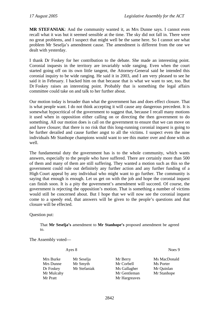**MR STEFANIAK**: And the community wanted it, as Mrs Dunne says. I cannot even recall what it was but it seemed sensible at the time. The sky did not fall in. There were no great problems, and I suspect that might well be the same here. So I cannot see what problem Mr Seselja's amendment cause. The amendment is different from the one we dealt with yesterday.

I thank Dr Foskey for her contribution to the debate. She made an interesting point. Coronial inquests in the territory are invariably wide ranging. Even when the court started going off on its own little tangent, the Attorney-General said he intended this coronial inquiry to be wide ranging. He said it in 2003, and I am very pleased to see he said it in February. I backed him on that because that is what we want to see, too. But Dr Foskey raises an interesting point. Probably that is something the legal affairs committee could take on and talk to her further about.

Our motion today is broader than what the government has and does effect closure. That is what people want. I do not think accepting it will cause any dangerous precedent. It is somewhat hypocritical of the government to suggest that, because I recall many motions it used when in opposition either calling on or directing the then government to do something. All our motion does is call on the government to ensure that we can move on and have closure; that there is no risk that this long-running coronial inquest is going to be further derailed and cause further angst to all the victims. I suspect even the nine individuals Mr Stanhope champions would want to see this matter over and done with as well.

The fundamental duty the government has is to the whole community, which wants answers, especially to the people who have suffered. There are certainly more than 500 of them and many of them are still suffering. They wanted a motion such as this so the government could rule out definitely any further action and any further funding of a High Court appeal by any individual who might want to go further. The community is saying that enough is enough. Let us get on with the job and hope the coronial inquest can finish soon. It is a pity the government's amendment will succeed. Of course, the government is rejecting the opposition's motion. That is something a number of victims would still be concerned about. But I hope that we will now see the coronial inquest come to a speedy end, that answers will be given to the people's questions and that closure will be effected.

Question put:

That **Mr Seselja's** amendment to **Mr Stanhope's** proposed amendment be agreed to.

The Assembly voted—

Ayes 8 Noes 9

Mrs Burke Mr Seselja Mr Berry Ms MacDonald Mrs Dunne Mr Smyth Mr Corbell Ms Porter Dr Foskey Mr Stefaniak Ms Gallagher Mr Quinlan Mr Mulcahy Mr Gentleman Mr Stanhope Mr Pratt Mr Hargreaves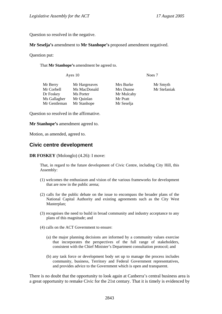Question so resolved in the negative.

#### **Mr Seselja's** amendment to **Mr Stanhope's** proposed amendment negatived.

Question put:

That **Mr Stanhope's** amendment be agreed to.

Ayes 10 Noes 7

| Mr Berry     | Mr Hargreaves | Mrs Burke  | Mr Smyth     |
|--------------|---------------|------------|--------------|
| Mr Corbell   | Ms MacDonald  | Mrs Dunne  | Mr Stefaniak |
| Dr Foskey    | Ms Porter     | Mr Mulcahy |              |
| Ms Gallagher | Mr Quinlan    | Mr Pratt   |              |
| Mr Gentleman | Mr Stanhope   | Mr Seselja |              |
|              |               |            |              |

Question so resolved in the affirmative.

**Mr Stanhope's** amendment agreed to.

Motion, as amended, agreed to.

## **Civic centre development**

**DR FOSKEY** (Molonglo) (4.26): I move:

That, in regard to the future development of Civic Centre, including City Hill, this Assembly:

- (1) welcomes the enthusiasm and vision of the various frameworks for development that are now in the public arena;
- (2) calls for the public debate on the issue to encompass the broader plans of the National Capital Authority and existing agreements such as the City West Masterplan;
- (3) recognises the need to build in broad community and industry acceptance to any plans of this magnitude; and
- (4) calls on the ACT Government to ensure:
	- (a) the major planning decisions are informed by a community values exercise that incorporates the perspectives of the full range of stakeholders, consistent with the Chief Minister's Department consultation protocol; and
	- (b) any task force or development body set up to manage the process includes community, business, Territory and Federal Government representatives, and provides advice to the Government which is open and transparent.

There is no doubt that the opportunity to look again at Canberra's central business area is a great opportunity to remake Civic for the 21st century. That it is timely is evidenced by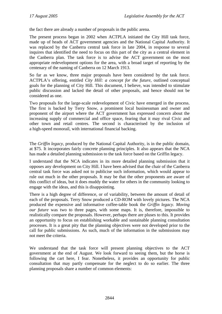the fact there are already a number of proposals in the public arena.

The present process began in 2002 when ACTPLA initiated the City Hill task force, made up of heads of ACT government agencies and the National Capital Authority. It was replaced by the Canberra central task force in late 2004, in response to several inquires that identified the need to focus on this part of the city as a central element in the Canberra plan. The task force is to advise the ACT government on the most appropriate redevelopment options for the area, with a broad target of reporting by the centenary of the naming of Canberra on 12 March 1913.

So far as we know, three major proposals have been considered by the task force. ACTPLA's offering, entitled *City Hill: a concept for the future*, outlined conceptual goals for the planning of City Hill. This document, I believe, was intended to stimulate public discussion and lacked the detail of other proposals, and hence should not be considered as one.

Two proposals for the large-scale redevelopment of Civic have emerged in the process. The first is backed by Terry Snow, a prominent local businessman and owner and proponent of the airport where the ACT government has expressed concern about the increasing supply of commercial and office space, fearing that it may rival Civic and other town and retail centres. The second is characterised by the inclusion of a high-speed monorail, with international financial backing.

The *Griffin legacy*, produced by the National Capital Authority, is in the public domain, at \$75. It incorporates fairly concrete planning principles. It also appears that the NCA has made a detailed planning submission to the task force based on the Griffin legacy.

I understand that the NCA indicates in its more detailed planning submission that it opposes any development on City Hill. I have been advised that the chair of the Canberra central task force was asked not to publicise such information, which would appear to rule out much in the other proposals. It may be that the other proponents are aware of this conflict of ideas, but it does muddy the water for others in the community looking to engage with the ideas, and this is disappointing.

There is a high degree of difference, or of variability, between the amount of detail of each of the proposals. Terry Snow produced a CD-ROM with lovely pictures. The NCA produced the expensive and informative coffee-table book the *Griffin legacy*. *Moving our future* was two to three pages, with some maps. It is, therefore, impossible to realistically compare the proposals. However, perhaps there are pluses to this. It provides an opportunity to focus on establishing workable and sustainable planning consultation processes. It is a great pity that the planning objectives were not developed prior to the call for public submissions. As such, much of the information in the submissions may not meet the criteria.

We understand that the task force will present planning objectives to the ACT government at the end of August. We look forward to seeing them, but the horse is following the cart here, I fear. Nonetheless, it provides an opportunity for public consultation that may partly compensate for the neglect to do so earlier. The three planning proposals share a number of common elements: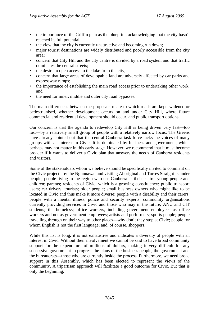- the importance of the Griffin plan as the blueprint, acknowledging that the city hasn't reached its full potential;
- the view that the city is currently unattractive and becoming run down;
- major tourist destinations are widely distributed and poorly accessible from the city area;
- concern that City Hill and the city centre is divided by a road system and that traffic dominates the central streets;
- the desire to open access to the lake from the city;
- concern that large areas of developable land are adversely affected by car parks and expressway ramps;
- the importance of establishing the main road access prior to undertaking other work; and
- the need for inner, middle and outer city road bypasses.

The main differences between the proposals relate to which roads are kept, widened or pedestrianised, whether development occurs on and under City Hill, where future commercial and residential development should occur, and public transport options.

Our concern is that the agenda to redevelop City Hill is being driven very fast—too fast—by a relatively small group of people with a relatively narrow focus. The Greens have already pointed out that the central Canberra task force lacks the voices of many groups with an interest in Civic. It is dominated by business and government, which perhaps may not matter in this early stage. However, we recommend that it must become broader if it wants to deliver a Civic plan that answers the needs of Canberra residents and visitors.

Some of the stakeholders whom we believe should be specifically invited to comment on the Civic project are: the Ngunnawal and visiting Aboriginal and Torres Straight Islander people; people living in the region who use Canberra as their centre; young people and children; parents; residents of Civic, which is a growing constituency; public transport users; car drivers; tourists; older people; small business owners who might like to be located in Civic and thus make it more diverse; people with a disability and their carers; people with a mental illness; police and security experts; community organisations currently providing services in Civic and those who may in the future; ANU and CIT students; the homeless; office workers, including government employees as office workers and not as government employees; artists and performers; sports people; people travelling through on their way to other places—why don't they stop at Civic; people for whom English is not the first language; and, of course, shoppers.

While this list is long, it is not exhaustive and indicates a diversity of people with an interest in Civic. Without their involvement we cannot be said to have broad community support for the expenditure of millions of dollars, making it very difficult for any successive government to progress the plans of the business people, the government and the bureaucrats—those who are currently inside the process. Furthermore, we need broad support in this Assembly, which has been elected to represent the views of the community. A tripartisan approach will facilitate a good outcome for Civic. But that is only the beginning.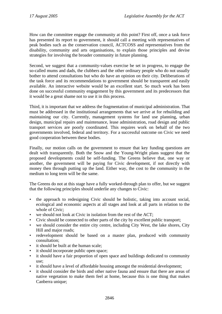How can the committee engage the community at this point? First off, once a task force has presented its report to government, it should call a meeting with representatives of peak bodies such as the conservation council, ACTCOSS and representatives from the disability, community and arts organisations, to explain those principles and devise strategies for involving the broader community in future planning.

Second, we suggest that a community-values exercise be set in progress, to engage the so-called mums and dads, the clubbers and the other ordinary people who do not usually bother to attend consultations but who do have an opinion on their city. Deliberations of the task force and its recommendations to government should be transparent and easily available. An interactive website would be an excellent start. So much work has been done on successful community engagement by this government and its predecessors that it would be a great shame not to use it in this process.

Third, it is important that we address the fragmentation of municipal administration. That must be addressed in the institutional arrangements that we arrive at for rebuilding and maintaining our city. Currently, management systems for land use planning, urban design, municipal repairs and maintenance, lease administration, road design and public transport services are poorly coordinated. This requires work on behalf of the two governments involved, federal and territory. For a successful outcome on Civic we need good cooperation between these bodies.

Finally, our motion calls on the government to ensure that key funding questions are dealt with transparently. Both the Snow and the Young-Wright plans suggest that the proposed developments could be self-funding. The Greens believe that, one way or another, the government will be paying for Civic development, if not directly with money then through putting up the land. Either way, the cost to the community in the medium to long term will be the same.

The Greens do not at this stage have a fully worked-through plan to offer, but we suggest that the following principles should underlie any changes to Civic:

- the approach to redesigning Civic should be holistic, taking into account social, ecological and economic aspects at all stages and look at all parts in relation to the whole of Civic;
- we should not look at Civic in isolation from the rest of the ACT:
- Civic should be connected to other parts of the city by excellent public transport;
- we should consider the entire city centre, including City West, the lake shores, City Hill and major roads;
- redevelopment should be based on a master plan, produced with community consultation;
- it should be built at the human scale;
- it should incorporate public open space;
- it should have a fair proportion of open space and buildings dedicated to community use;
- it should have a level of affordable housing amongst the residential development;
- it should consider the birds and other native fauna and ensure that there are areas of native vegetation to make them feel at home, because this is one thing that makes Canberra unique;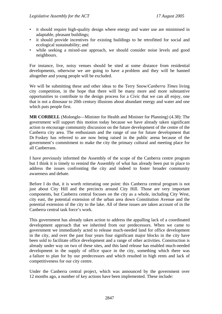- it should require high-quality design where energy and water use are minimised in adaptable, pleasant buildings;
- it should provide incentives for existing buildings to be retrofitted for social and ecological sustainability; and
- while seeking a mixed-use approach, we should consider noise levels and good neighbours.

For instance, live, noisy venues should be sited at some distance from residential developments, otherwise we are going to have a problem and they will be banned altogether and young people will be excluded.

We will be submitting these and other ideas to the Terry Snow/*Canberra Times* living city competition, in the hope that there will be many more and more substantive opportunities to contribute to the design process for a Civic that we can all enjoy, one that is not a dinosaur to 20th century illusions about abundant energy and water and one which puts people first.

**MR CORBELL** (Molonglo—Minister for Health and Minister for Planning) (4.38): The government will support this motion today because we have already taken significant action to encourage community discussion on the future development of the centre of the Canberra city area. The enthusiasm and the range of use for future development that Dr Foskey has referred to are now being raised in the public arena because of the government's commitment to make the city the primary cultural and meeting place for all Canberrans.

I have previously informed the Assembly of the scope of the Canberra centre program but I think it is timely to remind the Assembly of what has already been put in place to address the issues confronting the city and indeed to foster broader community awareness and debate.

Before I do that, it is worth reiterating one point: this Canberra central program is not just about City Hill and the precincts around City Hill. Those are very important components, but Canberra central focuses on the city as a whole, including City West, city east, the potential extension of the urban area down Constitution Avenue and the potential extension of the city to the lake. All of these issues are taken account of in the Canberra central task force's work.

This government has already taken action to address the appalling lack of a coordinated development approach that we inherited from our predecessors. When we came to government we immediately acted to release much-needed land for office development in the city, and over the past four years four significant major blocks in the city have been sold to facilitate office development and a range of other activities. Construction is already under way on two of these sites, and this land release has enabled much-needed development in the supply of office space in the city, something which there was a failure to plan for by our predecessors and which resulted in high rents and lack of competitiveness for our city centre.

Under the Canberra central project, which was announced by the government over 12 months ago, a number of key actions have been implemented. These include: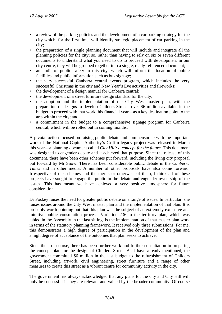- a review of the parking policies and the development of a car parking strategy for the city which, for the first time, will identify strategic placement of car parking in the city;
- the preparation of a single planning document that will include and integrate all the planning policies for the city; so, rather than having to rely on six or seven different documents to understand what you need to do to proceed with development in our city centre, they will be grouped together into a single, ready-referenced document;
- an audit of public safety in this city, which will inform the location of public facilities and public information such as bus signage;
- the very successful Canberra central events program, which includes the very successful Christmas in the city and New Year's Eve activities and fireworks;
- the development of a design manual for Canberra central;
- the development of a street furniture design standard for the city;
- the adoption and the implementation of the City West master plan, with the preparation of designs to develop Childers Street—over \$6 million available in the budget to proceed with that work this financial year—as a key destination point to the arts within the city; and
- a commitment in the budget to a comprehensive signage program for Canberra central, which will be rolled out in coming months.

A pivotal action focused on raising public debate and commensurate with the important work of the National Capital Authority's Griffin legacy project was released in March this year—a planning document called *City Hill: a concept for the future*. This document was designed to engender debate and it achieved that purpose. Since the release of this document, there have been other schemes put forward, including the living city proposal put forward by Mr Snow. There has been considerable public debate in the *Canberra Times* and in other media. A number of other proposals have also come forward. Irrespective of the schemes and the merits or otherwise of them, I think all of these projects have sought to engage the public in the debate and engender ownership of the issues. This has meant we have achieved a very positive atmosphere for future consideration.

Dr Foskey raises the need for greater public debate on a range of issues. In particular, she raises issues around the City West master plan and the implementation of that plan. It is probably worth pointing out that this plan was the subject of an extremely extensive and intuitive public consultation process. Variation 236 to the territory plan, which was tabled in the Assembly in the last sitting, is the implementation of that master plan work in terms of the statutory planning framework. It received only three submissions. For me, this demonstrates a high degree of participation in the development of the plan and a high degree of acceptance of the outcomes that plan seeks to achieve.

Since then, of course, there has been further work and further consultation in preparing the concept plan for the design of Childers Street. As I have already mentioned, the government committed \$6 million in the last budget to the refurbishment of Childers Street, including artwork, civil engineering, street furniture and a range of other measures to create this street as a vibrant centre for community activity in the city.

The government has always acknowledged that any plans for the city and City Hill will only be successful if they are relevant and valued by the broader community. Of course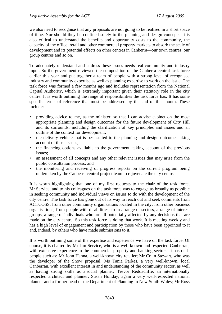we also need to recognise that any proposals are not going to be realised in a short space of time. Nor should they be confined solely to the planning and design concepts. It is also critical to understand the benefits and opportunity costs to the community, the capacity of the office, retail and other commercial property markets to absorb the scale of development and its potential effects on other centres in Canberra—our town centres, our group centres and so on.

To adequately understand and address these issues needs real community and industry input. So the government reviewed the composition of the Canberra central task force earlier this year and put together a team of people with a strong level of recognised industry and community expertise as well as planning expertise to work on the issue. The task force was formed a few months ago and includes representation from the National Capital Authority, which is extremely important given their statutory role in the city centre. It is worth outlining the range of responsibilities the task force has. It has some specific terms of reference that must be addressed by the end of this month. These include:

- providing advice to me, as the minister, so that I can advise cabinet on the most appropriate planning and design outcomes for the future development of City Hill and its surrounds, including the clarification of key principles and issues and an outline of the context for development;
- the delivery vehicle that is best suited to the planning and design outcome, taking account of those issues;
- the financing options available to the government, taking account of the previous issues;
- an assessment of all concepts and any other relevant issues that may arise from the public consultation process; and
- the monitoring and receiving of progress reports on the current program being undertaken by the Canberra central project team to rejuvenate the city centre.

It is worth highlighting that one of my first requests to the chair of the task force, Mr Service, and to his colleagues on the task force was to engage as broadly as possible in seeking community and individual views on issues to do with the development of the city centre. The task force has gone out of its way to reach out and seek comments from ACTCOSS; from other community organisations located in the city; from other business organisations; from people with disabilities; from a range of sectors, a range of interest groups, a range of individuals who are all potentially affected by any decisions that are made on the city centre. So this task force is doing that work. It is meeting weekly and has a high level of engagement and participation by those who have been appointed to it and, indeed, by others who have made submissions to it.

It is worth outlining some of the expertise and experience we have on the task force. Of course, it is chaired by Mr Jim Service, who is a well-known and respected Canberran, with extensive experience in the commercial property and banking sectors. It has on it people such as: Mr John Hanna, a well-known city retailer; Mr Colin Stewart, who was the developer of the Snow proposal; Ms Tania Parkes, a very well-known, local Canberran, with excellent interest in and understanding of the community sector, as well as having strong skills as a social planner; Trevor Reddacliffe, an internationally respected architect and planner; Susan Holiday, again a very well-respected national planner and a former head of the Department of Planning in New South Wales; Mr Ross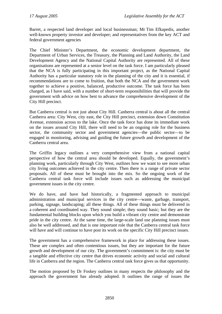Barret, a respected land developer and local businessman; Mr Tim Efkapedis, another well-known property investor and developer; and representatives from the key ACT and federal government agencies

The Chief Minister's Department, the economic development department, the Department of Urban Services, the Treasury, the Planning and Land Authority, the Land Development Agency and the National Capital Authority are represented. All of these organisations are represented at a senior level on the task force. I am particularly pleased that the NCA is fully participating in this important project, as the National Capital Authority has a particular statutory role in the planning of the city and it is essential, if recommendations are to come to fruition, that both the NCA and the government work together to achieve a positive, balanced, productive outcome. The task force has been charged, as I have said, with a number of short-term responsibilities that will provide the government with advice on how best to advance the comprehensive development of the City Hill precinct.

But Canberra central is not just about City Hill. Canberra central is about all the central Canberra area: City West, city east, the City Hill precinct, extension down Constitution Avenue, extension across to the lake. Once the task force has done its immediate work on the issues around City Hill, there will need to be an ongoing role for the business sector, the community sector and government agencies—the public sector—to be engaged in monitoring, advising and guiding the future growth and development of the Canberra central area.

The Griffin legacy outlines a very comprehensive view from a national capital perspective of how the central area should be developed. Equally, the government's planning work, particularly through City West, outlines how we want to see more urban city living outcomes achieved in the city centre. Then there is a range of private sector proposals. All of these must be brought into the mix. So the ongoing work of the Canberra central task force will include issues such as addressing the municipal government issues in the city centre.

We do have, and have had historically, a fragmented approach to municipal administration and municipal services in the city centre—waste, garbage, transport, parking, signage, landscaping; all these things. All of these things must be delivered in a coherent and coordinated way. They sound simple; they sound basic; but they are the fundamental building blocks upon which you build a vibrant city centre and demonstrate pride in the city centre. At the same time, the large-scale land use planning issues must also be well addressed, and that is one important role that the Canberra central task force will have and will continue to have post its work on the specific City Hill precinct issues.

The government has a comprehensive framework in place for addressing these issues. These are complex and often contentious issues, but they are important for the future growth and development of our city. The government's commitment is: the city must be a tangible and effective city centre that drives economic activity and social and cultural life in Canberra and the region. The Canberra central task force gives us that opportunity.

The motion proposed by Dr Foskey outlines in many respects the philosophy and the approach the government has already adopted. It outlines the range of issues the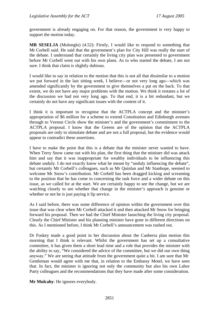government is already engaging on. For that reason, the government is very happy to support the motion today.

**MR SESELJA** (Molonglo) (4.52): Firstly, I would like to respond to something that Mr Corbell said. He said that the government's plan for City Hill was really the start of the debate. I understand that certainly the living city plan was presented to government before Mr Corbell went out with his own plans. As to who started the debate, I am not sure. I think that claim is slightly dubious.

I would like to say in relation to the motion that this is not all that dissimilar to a motion we put forward in the last sitting week, I believe—or not very long ago—which was amended significantly by the government to give themselves a pat on the back. To that extent, we do not have any major problems with the motion. We think it restates a lot of the discussion we had not very long ago. To that end, it is a bit redundant, but we certainly do not have any significant issues with the content of it.

I think it is important to recognise that the ACTPLA concept and the minister's appropriation of \$6 million for a scheme to extend Constitution and Edinburgh avenues through to Vernon Circle show the minister's and the government's commitment to the ACTPLA proposal. I know that the Greens are of the opinion that the ACTPLA proposals are only to stimulate debate and are not a full proposal, but the evidence would appear to contradict these assertions.

I have to make the point that this is a debate that the minister never wanted to have. When Terry Snow came out with his plan, the first thing that the minister did was attack him and say that it was inappropriate for wealthy individuals to be influencing this debate unduly. I do not exactly know what he meant by "unduly influencing the debate", but certainly Mr Corbell's colleagues, such as Mr Quinlan and Mr Stanhope, seemed to welcome Mr Snow's contribution. Mr Corbell has been dragged kicking and screaming to the position that he has come to concerning the task force and a wider debate on this issue, as we called for at the start. We are certainly happy to see the change, but we are watching closely to see whether that change in the minister's approach is genuine or whether or not he is just paying it lip service.

As I said before, there was some difference of opinion within the government over this issue that was clear when Mr Corbell attacked it and then attacked Mr Snow for bringing forward his proposal. Then we had the Chief Minister launching the living city proposal. Clearly the Chief Minister and his planning minister have gone in different directions on this. As I mentioned before, I think Mr Corbell's announcement was rushed out.

Dr Foskey made a good point in her discussion about the Canberra plan motion this morning that I think is relevant. Whilst the government has set up a consultative committee, it has given them a short lead time and a role that provides the minister with the ability to say, "We considered the advice of the committee, but we did our own thing anyway." We are seeing that attitude from the government quite a bit. I am sure that Mr Gentleman would agree with me that, in relation to the Embassy Motel, we have seen that. In fact, the minister is ignoring not only the community but also his own Labor Party colleagues and the recommendations that they have made after some consideration.

**Mr Mulcahy**: He ignores everybody.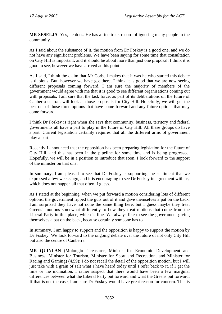**MR SESELJA**: Yes, he does. He has a fine track record of ignoring many people in the community.

As I said about the substance of it, the motion from Dr Foskey is a good one, and we do not have any significant problems. We have been saying for some time that consultation on City Hill is important, and it should be about more than just one proposal. I think it is good to see, however we have arrived at this point.

As I said, I think the claim that Mr Corbell makes that it was he who started this debate is dubious. But, however we have got there, I think it is good that we are now seeing different proposals coming forward. I am sure the majority of members of the government would agree with me that it is good to see different organisations coming out with proposals. I am sure that the task force, as part of its deliberations on the future of Canberra central, will look at those proposals for City Hill. Hopefully, we will get the best out of those three options that have come forward and any future options that may come forward.

I think Dr Foskey is right when she says that community, business, territory and federal governments all have a part to play in the future of City Hill. All these groups do have a part. Current legislation certainly requires that all the different arms of government play a part.

Recently I announced that the opposition has been preparing legislation for the future of City Hill, and this has been in the pipeline for some time and is being progressed. Hopefully, we will be in a position to introduce that soon. I look forward to the support of the minister on that one.

In summary, I am pleased to see that Dr Foskey is supporting the sentiment that we expressed a few weeks ago, and it is encouraging to see Dr Foskey in agreement with us, which does not happen all that often, I guess.

As I stated at the beginning, when we put forward a motion considering lots of different options, the government ripped the guts out of it and gave themselves a pat on the back. I am surprised they have not done the same thing here, but I guess maybe they treat Greens' motions somewhat differently to how they treat motions that come from the Liberal Party in this place, which is fine. We always like to see the government giving themselves a pat on the back, because certainly someone has to.

In summary, I am happy to support and the opposition is happy to support the motion by Dr Foskey. We look forward to the ongoing debate over the future of not only City Hill but also the centre of Canberra.

**MR QUINLAN** (Molonglo—Treasurer, Minister for Economic Development and Business, Minister for Tourism, Minister for Sport and Recreation, and Minister for Racing and Gaming) (4.59): I do not recall the detail of the opposition motion, but I will just take with a grain of salt what I have heard today until I refer back to it, if I get the time or the inclination. I rather suspect that there would have been a few marginal differences between what the Liberal Party put forward and what the Greens put forward. If that is not the case, I am sure Dr Foskey would have great reason for concern. This is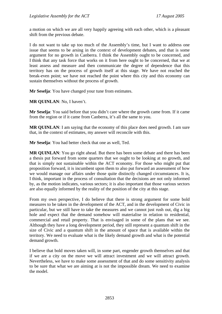a motion on which we are all very happily agreeing with each other, which is a pleasant shift from the previous debate.

I do not want to take up too much of the Assembly's time, but I want to address one issue that seems to be arsing in the context of development debates, and that is some argument for no growth in Canberra. I think the Assembly ought to be concerned, and I think that any task force that works on it from here ought to be concerned, that we at least assess and measure and then communicate the degree of dependence that this territory has on the process of growth itself at this stage. We have not reached the break-even point; we have not reached the point where this city and this economy can sustain themselves without the process of growth.

**Mr Seselja**: You have changed your tune from estimates.

**MR QUINLAN**: No, I haven't.

**Mr Seselja**: You said before that you didn't care where the growth came from. If it came from the region or if it came from Canberra, it's all the same to you.

**MR QUINLAN:** I am saying that the economy of this place does need growth. I am sure that, in the context of estimates, my answer will reconcile with this.

**Mr Seselja**: You had better check that one as well, Ted.

**MR QUINLAN**: You go right ahead. But there has been some debate and there has been a thesis put forward from some quarters that we ought to be looking at no growth, and that is simply not sustainable within the ACT economy. For those who might put that proposition forward, it is incumbent upon them to also put forward an assessment of how we would manage our affairs under those quite distinctly changed circumstances. It is, I think, important in the process of consultation that the decisions are not only informed by, as the motion indicates, various sectors; it is also important that those various sectors are also equally informed by the reality of the position of the city at this stage.

From my own perspective, I do believe that there is strong argument for some bold measures to be taken in the development of the ACT, and in the development of Civic in particular, but we still have to take the measures and we cannot just rush out, dig a big hole and expect that the demand somehow will materialise in relation to residential, commercial and retail property. That is envisaged in some of the plans that we see. Although they have a long development period, they still represent a quantum shift in the size of Civic and a quantum shift in the amount of space that is available within the territory. We need to evaluate what is the likely demand growth and what is the potential demand growth.

I believe that bold moves taken will, in some part, engender growth themselves and that if we are a city on the move we will attract investment and we will attract growth. Nevertheless, we have to make some assessment of that and do some sensitivity analysis to be sure that what we are aiming at is not the impossible dream. We need to examine the model.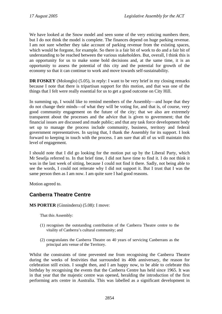We have looked at the Snow model and seen some of the very enticing numbers there, but I do not think the model is complete. The finances depend on huge parking revenue. I am not sure whether they take account of parking revenue from the existing spaces, which would be forgone, for example. So there is a fair bit of work to do and a fair bit of understanding to be reached between the various stakeholders. But, overall, I think this is an opportunity for us to make some bold decisions and, at the same time, it is an opportunity to assess the potential of this city and the potential for growth of the economy so that it can continue to work and move towards self-sustainability.

**DR FOSKEY** (Molonglo) (5.05), in reply: I want to be very brief in my closing remarks because I note that there is tripartisan support for this motion, and that was one of the things that I felt were really essential for us to get a good outcome on City Hill.

In summing up, I would like to remind members of the Assembly—and hope that they do not change their minds—of what they will be voting for, and that is, of course, very good community engagement on the future of the city; that we also are extremely transparent about the processes and the advice that is given to government; that the financial issues are discussed and made public; and that any task force development body set up to manage the process include community, business, territory and federal government representatives. In saying that, I thank the Assembly for its support. I look forward to keeping in touch with the process. I am sure that all of us will maintain this level of engagement.

I should note that I did go looking for the motion put up by the Liberal Party, which Mr Seselja referred to. In that brief time, I did not have time to find it. I do not think it was in the last week of sitting, because I could not find it there. Sadly, not being able to see the words, I could not reiterate why I did not support it. But I trust that I was the same person then as I am now. I am quite sure I had good reasons.

Motion agreed to.

# **Canberra Theatre Centre**

**MS PORTER** (Ginninderra) (5.08): I move:

That this Assembly:

- (1) recognises the outstanding contribution of the Canberra Theatre centre to the vitality of Canberra's cultural community; and
- (2) congratulates the Canberra Theatre on 40 years of servicing Canberrans as the principal arts venue of the Territory.

Whilst the constraints of time prevented me from recognising the Canberra Theatre during the weeks of festivities that surrounded its 40th anniversary, the reason for celebration still exists. I sought then, and I am happy now, to be able to celebrate this birthday by recognising the events that the Canberra Centre has held since 1965. It was in that year that the majestic centre was opened, heralding the introduction of the first performing arts centre in Australia. This was labelled as a significant development in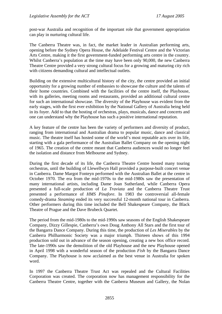post-war Australia and recognition of the important role that government appropriation can play in nurturing cultural life.

The Canberra Theatre was, in fact, the market leader in Australian performing arts, opening before the Sydney Opera House, the Adelaide Festival Centre and the Victorian Arts Centre, making it the first government-funded performing arts centre in the country. Whilst Canberra's population at the time may have been only 90,000, the new Canberra Theatre Centre provided a very strong cultural focus for a growing and maturing city rich with citizens demanding cultural and intellectual outlets.

Building on the extensive multicultural history of the city, the centre provided an initial opportunity for a growing number of embassies to showcase the culture and the talents of their home countries. Combined with the facilities of the centre itself, the Playhouse, with its galleries, meeting rooms and restaurants, provided an additional cultural centre for such an international showcase. The diversity of the Playhouse was evident from the early stages, with the first ever exhibition by the National Gallery of Australia being held in its foyer. Add to that the hosting of orchestras, plays, musicals, dance and concerts and one can understand why the Playhouse has such a positive international reputation.

A key feature of the centre has been the variety of performers and diversity of product, ranging from international and Australian drama to popular music, dance and classical music. The theatre itself has hosted some of the world's most reputable acts over its life, starting with a gala performance of the Australian Ballet Company on the opening night of 1965. The creation of the centre meant that Canberra audiences would no longer feel the isolation and distance from Melbourne and Sydney.

During the first decade of its life, the Canberra Theatre Centre hosted many touring orchestras, until the building of Llewellwyn Hall provided a purpose-built concert venue in Canberra. Dame Margot Fonteyn performed with the Australian Ballet at the centre in October 1970. The era from the mid-1970s to the mid-1980s saw the presentation of many international artists, including Dame Joan Sutherland, while Canberra Opera presented a full-scale production of *La Traviata* and the Canberra Theatre Trust presented a performance of *HMS Pinafore*. In 1983 the controversial all-female comedy-drama *Steaming* ended its very successful 12-month national tour in Canberra. Other performers during this time included the Bell Shakespeare Company, the Black Theatre of Prague and the Dave Brubeck Quartet.

The period from the mid-1980s to the mid-1990s saw seasons of the English Shakespeare Company, Dizzy Gillespie, Canberra's own Doug Anthony All Stars and the first tour of the Bangarra Dance Company. During this time, the production of *Les Miserables* by the Canberra Philharmonic Society was a major triumph. Thirteen shows of this 1994 production sold out in advance of the season opening, creating a new box office record. The late-1990s saw the demolition of the old Playhouse and the new Playhouse opened in April 1998 with a wonderful season of the production *Fish* by the Bangarra Dance Company. The Playhouse is now acclaimed as the best venue in Australia for spoken word.

In 1997 the Canberra Theatre Trust Act was repealed and the Cultural Facilities Corporation was created. The corporation now has management responsibility for the Canberra Theatre Centre, together with the Canberra Museum and Gallery, the Nolan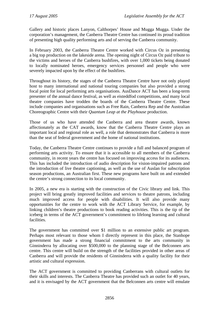Gallery and historic places Lanyon, Calthorpes' House and Mugga Mugga. Under the corporation's management, the Canberra Theatre Centre has continued its proud tradition of presenting high quality performing arts and of serving the Canberra community.

In February 2003, the Canberra Theatre Centre worked with Circus Oz in presenting a big top production on the lakeside arena. The opening night of Circus Oz paid tribute to the victims and heroes of the Canberra bushfires, with over 1,000 tickets being donated to locally nominated heroes, emergency services personnel and people who were severely impacted upon by the effect of the bushfires.

Throughout its history, the stages of the Canberra Theatre Centre have not only played host to many international and national touring companies but also provided a strong focal point for local performing arts organisations. AusDance ACT has been a long-term presenter of the annual dance festival, as well as eisteddfod competitions, and many local theatre companies have trodden the boards of the Canberra Theatre Centre. These include companies and organisations such as Free Rain, Canberra Rep and the Australian Choreographic Centre with their *Quantum Leap at the Playhouse* production.

Those of us who have attended the Canberra and area theatre awards, known affectionately as the CAT awards, know that the Canberra Theatre Centre plays an important local and regional role as well, a role that demonstrates that Canberra is more than the seat of federal government and the home of national institutions.

Today, the Canberra Theatre Centre continues to provide a full and balanced program of performing arts activity. To ensure that it is accessible to all members of the Canberra community, in recent years the centre has focused on improving access for its audiences. This has included the introduction of audio description for vision-impaired patrons and the introduction of live theatre captioning, as well as the use of Auslan for subscription season productions, an Australian first. These new programs have built on and extended the centre's strong connection to its local community.

In 2005, a new era is starting with the construction of the Civic library and link. This project will bring greatly improved facilities and services to theatre patrons, including much improved access for people with disabilities. It will also provide many opportunities for the centre to work with the ACT Library Service, for example, by linking children's theatre productions to book reading activities. This is the tip of the iceberg in terms of the ACT government's commitment to lifelong learning and cultural facilities.

The government has committed over \$1 million to an extensive public art program. Perhaps most relevant to those whom I directly represent in this place, the Stanhope government has made a strong financial commitment to the arts community in Ginninderra by allocating over \$500,000 to the planning stage of the Belconnen arts centre. This centre will build on the strength of the facilities provided in other areas of Canberra and will provide the residents of Ginninderra with a quality facility for their artistic and cultural expression.

The ACT government is committed to providing Canberrans with cultural outlets for their skills and interests. The Canberra Theatre has provided such an outlet for 40 years, and it is envisaged by the ACT government that the Belconnen arts centre will emulate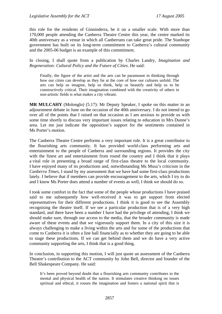this role for the residents of Ginninderra, be it on a smaller scale. With more than 170,000 people attending the Canberra Theatre Centre this year, the centre marked its 40th anniversary as a venue in which all Canberrans can take great pride. The Stanhope government has built on its long-term commitment to Canberra's cultural community and the 2005-06 budget is an example of this commitment.

In closing, I shall quote from a publication by Charles Landry, *Imagination and Regeneration: Cultural Policy and the Future of Cities*. He said:

Finally, the figure of the artist and the arts can be paramount in thinking through how our cities can develop as they lie at the core of how our cultures unfold. The arts can help us imagine, help us think, help us beautify and help us to be constructively critical. Their imagination combined with the creativity of others in non-artistic fields is what makes a city vibrant.

**MR MULCAHY** (Molonglo) (5.17): Mr Deputy Speaker, I spoke on this matter in an adjournment debate in June on the occasion of the 40th anniversary. I do not intend to go over all of the points that I raised on that occasion as I am anxious to provide us with some time shortly to discuss very important issues relating to education in Mrs Dunne's area. Let me just indicate the opposition's support for the sentiments contained in Ms Porter's motion.

The Canberra Theatre Centre performs a very important role. It is a great contributor to the flourishing arts community. It has provided world-class performing arts and entertainment to the people of Canberra and surrounding regions. It provides the city with the finest art and entertainment from round the country and I think that it plays a vital role in presenting a broad range of first-class theatre to the local community. I have enjoyed many of its productions and, notwithstanding Ms Musa's criticism in the *Canberra Times*, I stand by my assessment that we have had some first-class productions lately. I believe that if members can provide encouragement to the arts, which I try to do and I know Ms Porter does attend a number of events as well, I think we should do so.

I took some comfort in the fact that some of the people whose productions I have praised said to me subsequently how well-received it was to get support from elected representatives for their different productions. I think it is good to see the Assembly recognising the theatre itself. If we see a particular production that is of a very high standard, and there have been a number I have had the privilege of attending, I think we should make sure, through our access to the media, that the broader community is made aware of these events and that we vigorously support them. In a city of this size it is always challenging to make a living within the arts and for some of the productions that come to Canberra it is often a line ball financially as to whether they are going to be able to stage these productions. If we can get behind them and we do have a very active community supporting the arts, I think that is a good thing.

In conclusion, in supporting this motion, I will just quote an assessment of the Canberra Theatre's contribution to the ACT community by John Bell, director and founder of the Bell Shakespeare Company. He said:

It's been proved beyond doubt that a flourishing arts community contributes to the mental and physical health of the nation. It stimulates creative thinking on issues spiritual and ethical, it rouses the imagination and fosters a national spirit that is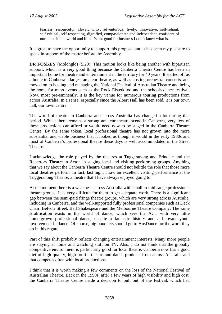fearless, resourceful, clever, witty, adventurous, lively, innovative, self-reliant, self critical, self-respecting, dignified, compassionate and independent, confident of our place in the world and if that's not good for business I don't know what is.

It is great to have the opportunity to support this proposal and it has been my pleasure to speak in support of the matter before the Assembly.

**DR FOSKEY** (Molonglo) (5.20): This motion looks like being another with bipartisan support, which is a very good thing because the Canberra Theatre Centre has been an important home for theatre and entertainment in the territory for 40 years. It started off as a home to Canberra's largest amateur theatre, as well as hosting orchestral concerts, and moved on to hosting and managing the National Festival of Australian Theatre and being the home for mass events such as the Rock Eisteddfod and the schools dance festival. Now, most pre-eminently, it is the key venue for numerous touring productions from across Australia. In a sense, especially since the Albert Hall has been sold, it is our town hall, our town centre.

The world of theatre in Canberra and across Australia has changed a lot during that period. Whilst there remains a strong amateur theatre scene in Canberra, very few of these productions can afford or would need now to be staged in the Canberra Theatre Centre. By the same token, local professional theatre has not grown into the more substantial and viable business that it looked as though it would in the early 1980s and most of Canberra's professional theatre these days is well accommodated in the Street Theatre.

I acknowledge the role played by the theatres at Tuggeranong and Erindale and the Repertory Theatre in Acton in staging local and visiting performing groups. Anything that we say about the Canberra Theatre Centre should not belittle the role that those more local theatres perform. In fact, last night I saw an excellent visiting performance at the Tuggeranong Theatre, a theatre that I have always enjoyed going to.

At the moment there is a weakness across Australia with small to mid-range professional theatre groups. It is very difficult for them to get adequate work. There is a significant gap between the semi-paid fringe theatre groups, which are very strong across Australia, including in Canberra, and the well-supported fully professional companies such as Deck Chair, Belvoir Street, Bell Shakespeare and the Melbourne Theatre Company. The same stratification exists in the world of dance, which sees the ACT with very little home-grown professional dance, despite a fantastic history and a buoyant youth involvement in dance. Of course, big bouquets should go to AusDance for the work they do in this regard.

Part of this shift probably reflects changing entertainment interests. Many more people are staying at home and watching stuff on TV. Also, I do not think that the globally competitive environment is particularly good for local theatre. Canberra now has a good diet of high quality, high profile theatre and dance products from across Australia and that competes often with local productions.

I think that it is worth making a few comments on the loss of the National Festival of Australian Theatre. Back in the 1990s, after a few years of high visibility and high cost, the Canberra Theatre Centre made a decision to pull out of the festival, which had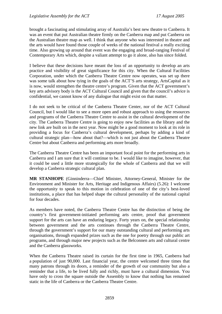brought a fascinating and stimulating array of Australia's best new theatre to Canberra. It was an event that put Australian theatre firmly on the Canberra map and put Canberra on the Australian theatre map as well. I think that anyone who was interested in theatre and the arts would have found those couple of weeks of the national festival a really exciting time. Also growing up around that event was the engaging and broad-ranging Festival of Contemporary Arts which, despite a valiant attempt to go it alone, also has since folded.

I believe that these decisions have meant the loss of an opportunity to develop an arts practice and visibility of great significance for this city. When the Cultural Facilities Corporation, under which the Canberra Theatre Centre now operates, was set up there was some talk about how tying in the goals of the ACT'S arts strategy, ArtsCapital as it is now, would strengthen the theatre centre's program. Given that the ACT government's key arts advisory body is the ACT Cultural Council and given that the council's advice is confidential, we cannot know of any dialogue that might exist on that matter.

I do not seek to be critical of the Canberra Theatre Center, nor of the ACT Cultural Council, but I would like to see a more open and robust approach to using the resources and programs of the Canberra Theatre Centre to assist in the cultural development of the city. The Canberra Theatre Centre is going to enjoy new facilities as the library and the new link are built on in the next year. Now might be a good moment to look at its role in providing a focus for Canberra's cultural development, perhaps by adding a kind of cultural strategic plan—how about that?—which is not just about the Canberra Theatre Centre but about Canberra and performing arts more broadly.

The Canberra Theatre Centre has been an important focal point for the performing arts in Canberra and I am sure that it will continue to be. I would like to imagine, however, that it could be used a little more strategically for the whole of Canberra and that we will develop a Canberra strategic cultural plan.

**MR STANHOPE** (Ginninderra—Chief Minister, Attorney-General, Minister for the Environment and Minister for Arts, Heritage and Indigenous Affairs) (5.26): I welcome the opportunity to speak to this motion in celebration of one of the city's best-loved institutions, a place that has helped shape the cultural personality of the national capital for four decades.

As members have noted, the Canberra Theatre Centre has the distinction of being the country's first government-initiated performing arts centre, proof that government support for the arts can have an enduring legacy. Forty years on, the special relationship between government and the arts continues through the Canberra Theatre Centre, through the government's support for our many outstanding cultural and performing arts organisations, through expanded prizes such as the one for poetry through our public art programs, and through major new projects such as the Belconnen arts and cultural centre and the Canberra glassworks.

When the Canberra Theatre raised its curtain for the first time in 1965, Canberra had a population of just 90,000. Last financial year, the centre welcomed three times that many patrons through its doors, a reminder of the growth of our community but also a reminder that a life, to be lived fully and richly, must have a cultural dimension. You have only to cross the square outside the Assembly to know that nothing has remained static in the life of Canberra or the Canberra Theatre Centre.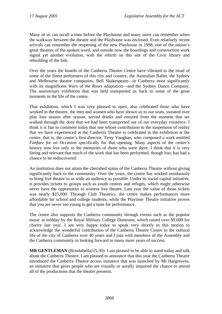Many of us can recall a time before the Playhouse and many more can remember when the walkway between the theatre and the Playhouse was enclosed. Even relatively recent arrivals can remember the reopening of the new Playhouse in 1998, one of the nation's great theatres of the spoken word, and outside now the boardings and construction work signal yet another evolution, with the rebirth on this site of the Civic library and rebuilding of the link.

Over the years the boards of the Canberra Theatre Centre have vibrated to the tread of some of the finest performers of this city and country, the Australian Ballet, the Sydney and Melbourne theatre companies, Bell Shakespeare—in Canberra most significantly with its magnificent *Wars of the Roses* adaptation—and the Sydney Dance Company. The anniversary exhibition that was held transported us back to some of the great moments in the life of the centre.

That exhibition, which I was very pleased to open, also celebrated those who have worked in the theatre, the men and women who have shown us to our seats, sweated over play lists season after season, served drinks and ensured from the moment that we walked through the door that we had been transported out of our everyday existence. I think it is fair to comment today that one whose contribution to the suspension of reality that we have experienced at the Canberra Theatre is celebrated in the exhibition at the centre, that is, the centre's first director, Terry Vaughan, who composed a work entitled *Fanfare for an Occasion* specifically for that opening. Many aspects of the centre's history now live only in the memories of those who were there. I think that it is very fitting and relevant that much of the work that has been performed, though lost, has had a chance to be rediscovered.

An institution does not attain the cherished status of the Canberra Theatre without giving significantly back to the community. Over the years, the centre has worked assiduously to bring live theatre to as wide an audience as possible. Under its social capital initiative, it provides tickets to groups such as youth centres and refuges, which might otherwise never have the opportunity to witness live theatre. Last year the value of those tickets was nearly \$25,000. Through Club Theatrics, the centre makes performances more affordable for school and college students, while the Playtime Theatre initiative proves that you are never too young to get a taste for performance.

The centre also supports the Canberra community through events such as the popular music at midday by the Royal Military College Duntroon, which raised over \$9,000 for charity last year. I am very happy today to speak very shortly to this motion to acknowledge the wonderful contribution of the Canberra Theatre Centre to the cultural life of the city of Canberra over 40 years and I join with members of the Assembly and the Canberra community in looking forward to many more years of success.

**MR GENTLEMAN** (Brindabella) (5.30): I am pleased to be able to stand today and talk about the Canberra Theatre. I am pleased to announce that this year the Canberra Theatre introduced the Canberra Theatre access initiative that was launched by Mr Hargreaves, an initiative that gives people who are visually or aurally impaired the chance to attend all of the productions that the theatre presents.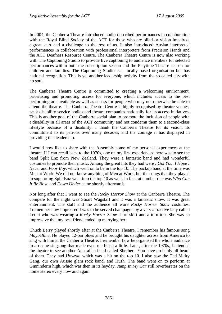In 2004, the Canberra Theatre introduced audio-described performances in collaboration with the Royal Blind Society of the ACT for those who are blind or vision impaired, a great start and a challenge to the rest of us. It also introduced Auslan interpreted performances in collaboration with professional interpreters from Precision Hands and the ACT Deafness Resource Centre. The Canberra Theatre Centre is now also working with The Captioning Studio to provide live captioning to audience members for selected performances within both the subscription season and the Playtime Theatre season for children and families. The Captioning Studio is a locally based organisation but has national recognition. This is yet another leadership activity from the so-called city with no soul.

The Canberra Theatre Centre is committed to creating a welcoming environment, prioritising and promoting access for everyone, which includes access to the best performing arts available as well as access for people who may not otherwise be able to attend the theatre. The Canberra Theatre Centre is highly recognised by theatre venues, peak disability service bodies and theatre companies nationally for its access initiatives. This is another goal of the Canberra social plan to promote the inclusion of people with a disability in all areas of the ACT community and not condemn them to a second-class lifestyle because of a disability. I thank the Canberra Theatre for its vision, its commitment to its patrons over many decades, and the courage it has displayed in providing this leadership.

I would now like to share with the Assembly some of my personal experiences at the theatre. If I can recall back to the 1970s, one on my first experiences there was to see the band Split Enz from New Zealand. They were a fantastic band and had wonderful costumes to promote their music. Among the great hits they had were *I Got You*, *I Hope I Neve*r and *Poor Boy,* which went on to be in the top 10. The backup band at the time was Men at Work. We did not know anything of Men at Work, but the songs that they played in supporting Split Enz went into the top 10 as well. In fact, at number one was *Who Can It Be Now,* and *Down Under* came shortly afterwards.

Not long after that I went to see the *Rocky Horror Show* at the Canberra Theatre. The compere for the night was Stuart Wagstaff and it was a fantastic show. It was great entertainment. The staff and the audience all wore *Rocky Horror Show* costumes. I remember how impressed I was to be served champagne by a very attractive lady called Leoni who was wearing a *Rocky Horror Show* short skirt and a torn top. She was so impressive that my best friend ended up marrying her.

Chuck Berry played shortly after at the Canberra Theatre. I remember his famous song *Maybelline*. He played 12-bar blues and he brought his daughter across from America to sing with him at the Canberra Theatre. I remember how he organised the whole audience in a risque singsong that made even me blush a little. Later, after the 1970s, I attended the theatre to see another Australian band called Sherbert. You have probably all heard of them. They had *Howzat*, which was a hit on the top 10. I also saw the Ted Mulry Gang, our own Aussie glam rock band, and Hush*.* The band went on to perform at Ginninderra high, which was then in its heyday. *Jump In My Car* still reverberates on the home stereo every now and again.